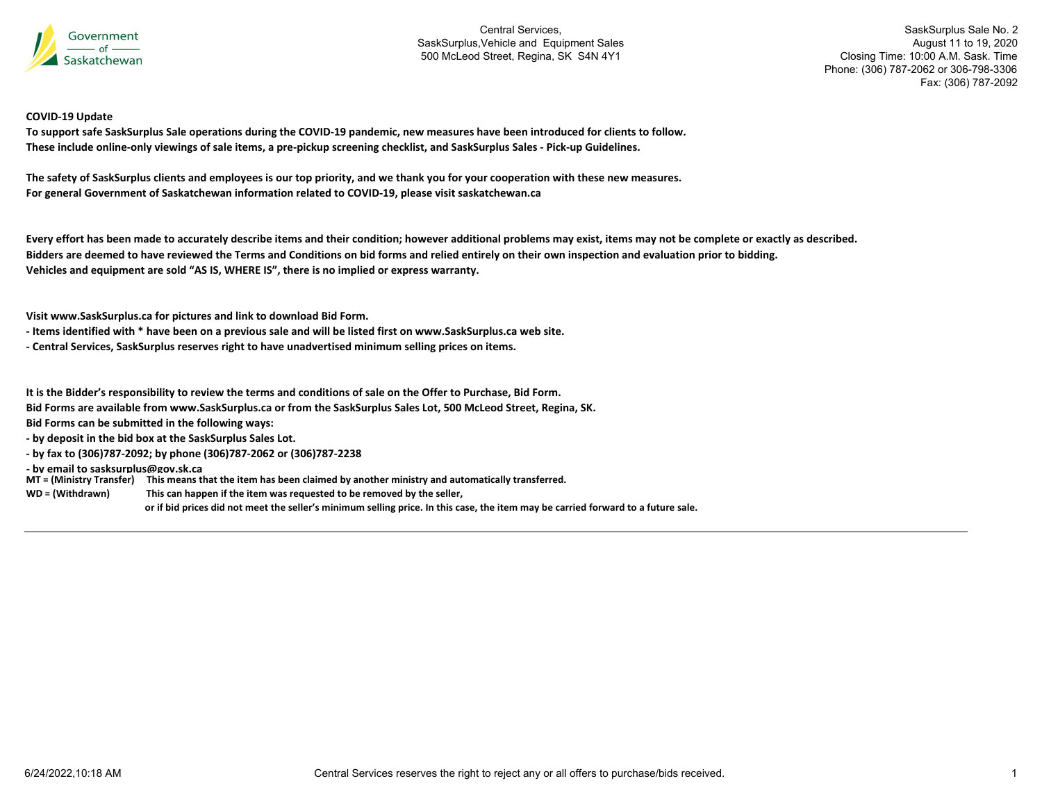

SaskSurplus Sale No. 2 August 11 to 19, 2020 Closing Time: 10:00 A.M. Sask. Time Phone: (306) 787-2062 or 306-798-3306 Fax: (306) 787-2092

#### **COVID‐19 Update**

To support safe SaskSurplus Sale operations during the COVID-19 pandemic, new measures have been introduced for clients to follow. These include online-only viewings of sale items, a pre-pickup screening checklist, and SaskSurplus Sales - Pick-up Guidelines.

The safety of SaskSurplus clients and employees is our top priority, and we thank you for your cooperation with these new measures. **For general Government of Saskatchewan information related to COVID‐19, please visit saskatchewan.ca**

Every effort has been made to accurately describe items and their condition; however additional problems may exist, items may not be complete or exactly as described. Bidders are deemed to have reviewed the Terms and Conditions on bid forms and relied entirely on their own inspection and evaluation prior to bidding. **Vehicles and equipment are sold "AS IS, WHERE IS", there is no implied or express warranty.**

**Visit www.SaskSurplus.ca for pictures and link to download Bid Form.**

- Items identified with \* have been on a previous sale and will be listed first on www.SaskSurplus.ca web site.
- **‐ Central Services, SaskSurplus reserves right to have unadvertised minimum selling prices on items.**

It is the Bidder's responsibility to review the terms and conditions of sale on the Offer to Purchase, Bid Form.

Bid Forms are available from www.SaskSurplus.ca or from the SaskSurplus Sales Lot, 500 McLeod Street, Regina, SK.

**Bid Forms can be submitted in the following ways:**

**‐ by deposit in the bid box at the SaskSurplus Sales Lot.**

**‐ by fax to (306)787‐2092; by phone (306)787‐2062 or (306)787‐2238**

**‐ by email to sasksurplus@gov.sk.ca**

MT = (Ministry Transfer) This means that the item has been claimed by another ministry and automatically transferred.

WD = (Withdrawn) **<sup>=</sup> (Withdrawn) This can happen if the item was requested to be removed by the seller,**

or if bid prices did not meet the seller's minimum selling price. In this case, the item may be carried forward to a future sale.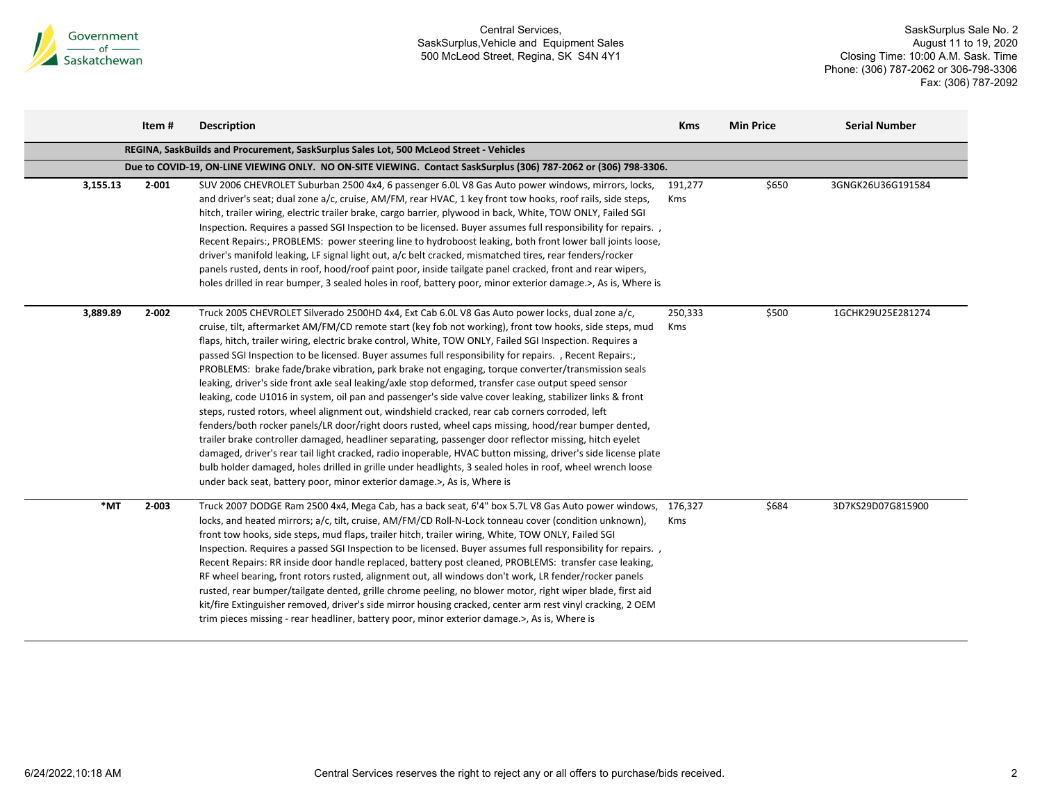

|          | Item#     | <b>Description</b>                                                                                                                                                                                                                                                                                                                                                                                                                                                                                                                                                                                                                                                                                                                                                                                                                                                                                                                                                                                                                                                                                                                                                                                                                                                                                                                                                                      | <b>Kms</b>            | <b>Min Price</b> | <b>Serial Number</b> |
|----------|-----------|-----------------------------------------------------------------------------------------------------------------------------------------------------------------------------------------------------------------------------------------------------------------------------------------------------------------------------------------------------------------------------------------------------------------------------------------------------------------------------------------------------------------------------------------------------------------------------------------------------------------------------------------------------------------------------------------------------------------------------------------------------------------------------------------------------------------------------------------------------------------------------------------------------------------------------------------------------------------------------------------------------------------------------------------------------------------------------------------------------------------------------------------------------------------------------------------------------------------------------------------------------------------------------------------------------------------------------------------------------------------------------------------|-----------------------|------------------|----------------------|
|          |           | REGINA, SaskBuilds and Procurement, SaskSurplus Sales Lot, 500 McLeod Street - Vehicles                                                                                                                                                                                                                                                                                                                                                                                                                                                                                                                                                                                                                                                                                                                                                                                                                                                                                                                                                                                                                                                                                                                                                                                                                                                                                                 |                       |                  |                      |
|          |           | Due to COVID-19, ON-LINE VIEWING ONLY. NO ON-SITE VIEWING. Contact SaskSurplus (306) 787-2062 or (306) 798-3306.                                                                                                                                                                                                                                                                                                                                                                                                                                                                                                                                                                                                                                                                                                                                                                                                                                                                                                                                                                                                                                                                                                                                                                                                                                                                        |                       |                  |                      |
| 3,155.13 | $2 - 001$ | SUV 2006 CHEVROLET Suburban 2500 4x4, 6 passenger 6.0L V8 Gas Auto power windows, mirrors, locks,<br>and driver's seat; dual zone a/c, cruise, AM/FM, rear HVAC, 1 key front tow hooks, roof rails, side steps,<br>hitch, trailer wiring, electric trailer brake, cargo barrier, plywood in back, White, TOW ONLY, Failed SGI<br>Inspection. Requires a passed SGI Inspection to be licensed. Buyer assumes full responsibility for repairs. ,<br>Recent Repairs:, PROBLEMS: power steering line to hydroboost leaking, both front lower ball joints loose,<br>driver's manifold leaking, LF signal light out, a/c belt cracked, mismatched tires, rear fenders/rocker<br>panels rusted, dents in roof, hood/roof paint poor, inside tailgate panel cracked, front and rear wipers,<br>holes drilled in rear bumper, 3 sealed holes in roof, battery poor, minor exterior damage.>, As is, Where is                                                                                                                                                                                                                                                                                                                                                                                                                                                                                     | 191,277<br><b>Kms</b> | \$650            | 3GNGK26U36G191584    |
| 3,889.89 | $2 - 002$ | Truck 2005 CHEVROLET Silverado 2500HD 4x4, Ext Cab 6.0L V8 Gas Auto power locks, dual zone a/c,<br>cruise, tilt, aftermarket AM/FM/CD remote start (key fob not working), front tow hooks, side steps, mud<br>flaps, hitch, trailer wiring, electric brake control, White, TOW ONLY, Failed SGI Inspection. Requires a<br>passed SGI Inspection to be licensed. Buyer assumes full responsibility for repairs., Recent Repairs:,<br>PROBLEMS: brake fade/brake vibration, park brake not engaging, torque converter/transmission seals<br>leaking, driver's side front axle seal leaking/axle stop deformed, transfer case output speed sensor<br>leaking, code U1016 in system, oil pan and passenger's side valve cover leaking, stabilizer links & front<br>steps, rusted rotors, wheel alignment out, windshield cracked, rear cab corners corroded, left<br>fenders/both rocker panels/LR door/right doors rusted, wheel caps missing, hood/rear bumper dented,<br>trailer brake controller damaged, headliner separating, passenger door reflector missing, hitch eyelet<br>damaged, driver's rear tail light cracked, radio inoperable, HVAC button missing, driver's side license plate<br>bulb holder damaged, holes drilled in grille under headlights, 3 sealed holes in roof, wheel wrench loose<br>under back seat, battery poor, minor exterior damage.>, As is, Where is | 250,333<br>Kms        | \$500            | 1GCHK29U25E281274    |
| *MT      | $2 - 003$ | Truck 2007 DODGE Ram 2500 4x4, Mega Cab, has a back seat, 6'4" box 5.7L V8 Gas Auto power windows,<br>locks, and heated mirrors; a/c, tilt, cruise, AM/FM/CD Roll-N-Lock tonneau cover (condition unknown),<br>front tow hooks, side steps, mud flaps, trailer hitch, trailer wiring, White, TOW ONLY, Failed SGI<br>Inspection. Requires a passed SGI Inspection to be licensed. Buyer assumes full responsibility for repairs. ,<br>Recent Repairs: RR inside door handle replaced, battery post cleaned, PROBLEMS: transfer case leaking,<br>RF wheel bearing, front rotors rusted, alignment out, all windows don't work, LR fender/rocker panels<br>rusted, rear bumper/tailgate dented, grille chrome peeling, no blower motor, right wiper blade, first aid<br>kit/fire Extinguisher removed, driver's side mirror housing cracked, center arm rest vinyl cracking, 2 OEM<br>trim pieces missing - rear headliner, battery poor, minor exterior damage.>, As is, Where is                                                                                                                                                                                                                                                                                                                                                                                                        | 176,327<br><b>Kms</b> | \$684            | 3D7KS29D07G815900    |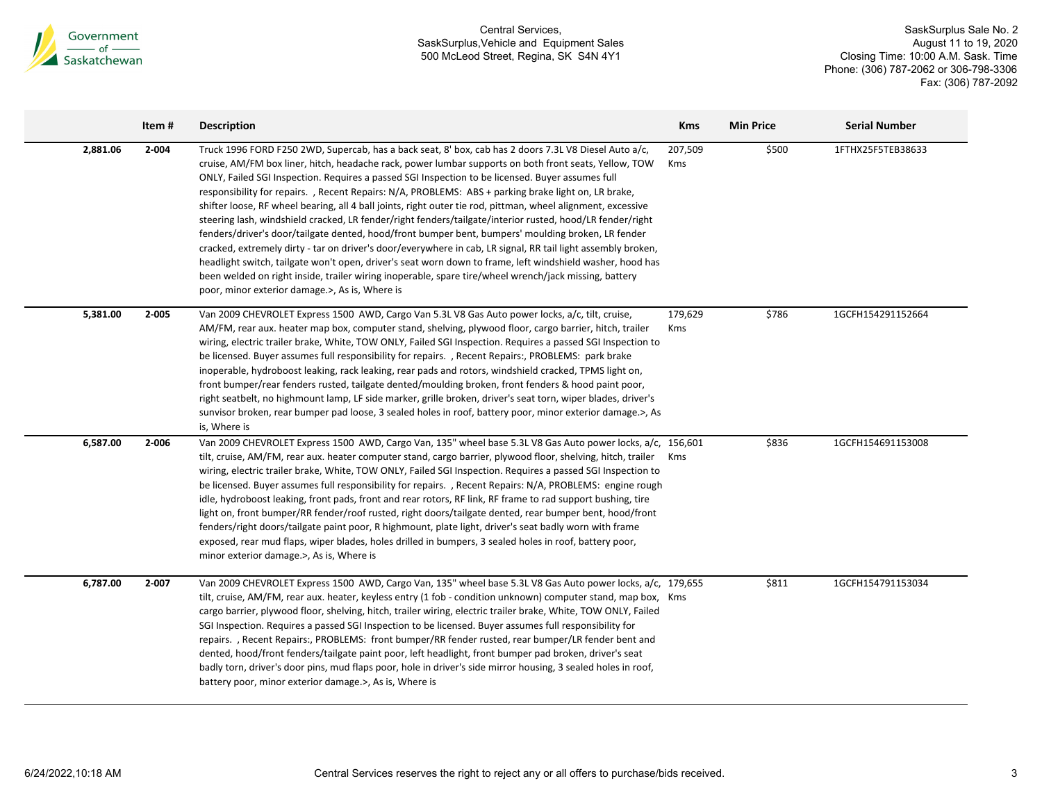

|          | Item# | <b>Description</b>                                                                                                                                                                                                                                                                                                                                                                                                                                                                                                                                                                                                                                                                                                                                                                                                                                                                                                                                                                                                                                                                                                                                   | <b>Kms</b>     | <b>Min Price</b> | <b>Serial Number</b> |  |
|----------|-------|------------------------------------------------------------------------------------------------------------------------------------------------------------------------------------------------------------------------------------------------------------------------------------------------------------------------------------------------------------------------------------------------------------------------------------------------------------------------------------------------------------------------------------------------------------------------------------------------------------------------------------------------------------------------------------------------------------------------------------------------------------------------------------------------------------------------------------------------------------------------------------------------------------------------------------------------------------------------------------------------------------------------------------------------------------------------------------------------------------------------------------------------------|----------------|------------------|----------------------|--|
| 2,881.06 | 2-004 | Truck 1996 FORD F250 2WD, Supercab, has a back seat, 8' box, cab has 2 doors 7.3L V8 Diesel Auto a/c,<br>cruise, AM/FM box liner, hitch, headache rack, power lumbar supports on both front seats, Yellow, TOW<br>ONLY, Failed SGI Inspection. Requires a passed SGI Inspection to be licensed. Buyer assumes full<br>responsibility for repairs., Recent Repairs: N/A, PROBLEMS: ABS + parking brake light on, LR brake,<br>shifter loose, RF wheel bearing, all 4 ball joints, right outer tie rod, pittman, wheel alignment, excessive<br>steering lash, windshield cracked, LR fender/right fenders/tailgate/interior rusted, hood/LR fender/right<br>fenders/driver's door/tailgate dented, hood/front bumper bent, bumpers' moulding broken, LR fender<br>cracked, extremely dirty - tar on driver's door/everywhere in cab, LR signal, RR tail light assembly broken,<br>headlight switch, tailgate won't open, driver's seat worn down to frame, left windshield washer, hood has<br>been welded on right inside, trailer wiring inoperable, spare tire/wheel wrench/jack missing, battery<br>poor, minor exterior damage.>, As is, Where is | 207,509<br>Kms | \$500            | 1FTHX25F5TEB38633    |  |
| 5,381.00 | 2-005 | Van 2009 CHEVROLET Express 1500 AWD, Cargo Van 5.3L V8 Gas Auto power locks, a/c, tilt, cruise,<br>AM/FM, rear aux. heater map box, computer stand, shelving, plywood floor, cargo barrier, hitch, trailer<br>wiring, electric trailer brake, White, TOW ONLY, Failed SGI Inspection. Requires a passed SGI Inspection to<br>be licensed. Buyer assumes full responsibility for repairs. , Recent Repairs:, PROBLEMS: park brake<br>inoperable, hydroboost leaking, rack leaking, rear pads and rotors, windshield cracked, TPMS light on,<br>front bumper/rear fenders rusted, tailgate dented/moulding broken, front fenders & hood paint poor,<br>right seatbelt, no highmount lamp, LF side marker, grille broken, driver's seat torn, wiper blades, driver's<br>sunvisor broken, rear bumper pad loose, 3 sealed holes in roof, battery poor, minor exterior damage.>, As<br>is, Where is                                                                                                                                                                                                                                                       | 179,629<br>Kms | \$786            | 1GCFH154291152664    |  |
| 6,587.00 | 2-006 | Van 2009 CHEVROLET Express 1500 AWD, Cargo Van, 135" wheel base 5.3L V8 Gas Auto power locks, a/c, 156,601<br>tilt, cruise, AM/FM, rear aux. heater computer stand, cargo barrier, plywood floor, shelving, hitch, trailer Kms<br>wiring, electric trailer brake, White, TOW ONLY, Failed SGI Inspection. Requires a passed SGI Inspection to<br>be licensed. Buyer assumes full responsibility for repairs. , Recent Repairs: N/A, PROBLEMS: engine rough<br>idle, hydroboost leaking, front pads, front and rear rotors, RF link, RF frame to rad support bushing, tire<br>light on, front bumper/RR fender/roof rusted, right doors/tailgate dented, rear bumper bent, hood/front<br>fenders/right doors/tailgate paint poor, R highmount, plate light, driver's seat badly worn with frame<br>exposed, rear mud flaps, wiper blades, holes drilled in bumpers, 3 sealed holes in roof, battery poor,<br>minor exterior damage.>, As is, Where is                                                                                                                                                                                                 |                | \$836            | 1GCFH154691153008    |  |
| 6,787.00 | 2-007 | Van 2009 CHEVROLET Express 1500 AWD, Cargo Van, 135" wheel base 5.3L V8 Gas Auto power locks, a/c, 179,655<br>tilt, cruise, AM/FM, rear aux. heater, keyless entry (1 fob - condition unknown) computer stand, map box, Kms<br>cargo barrier, plywood floor, shelving, hitch, trailer wiring, electric trailer brake, White, TOW ONLY, Failed<br>SGI Inspection. Requires a passed SGI Inspection to be licensed. Buyer assumes full responsibility for<br>repairs., Recent Repairs:, PROBLEMS: front bumper/RR fender rusted, rear bumper/LR fender bent and<br>dented, hood/front fenders/tailgate paint poor, left headlight, front bumper pad broken, driver's seat<br>badly torn, driver's door pins, mud flaps poor, hole in driver's side mirror housing, 3 sealed holes in roof,<br>battery poor, minor exterior damage.>, As is, Where is                                                                                                                                                                                                                                                                                                   |                | \$811            | 1GCFH154791153034    |  |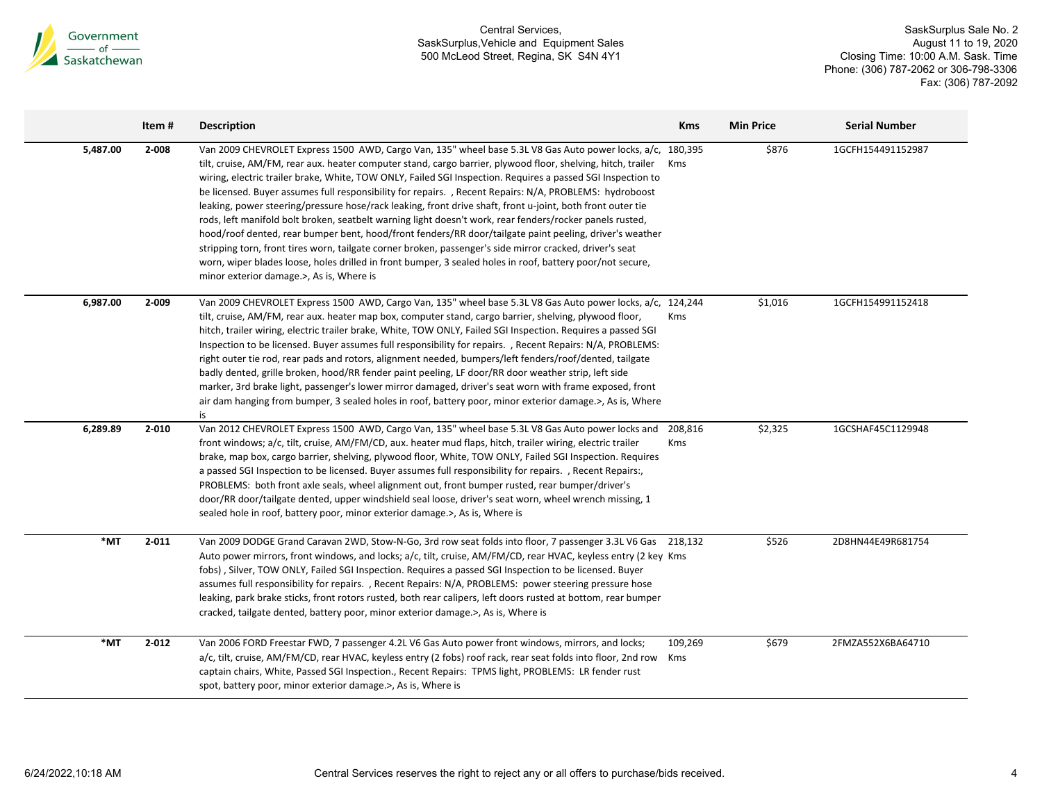

|                 | Item#     | <b>Description</b>                                                                                                                                                                                                                                                                                                                                                                                                                                                                                                                                                                                                                                                                                                                                                                                                                                                                                                                                                                                                                                                 | <b>Kms</b> | <b>Min Price</b> | <b>Serial Number</b> |
|-----------------|-----------|--------------------------------------------------------------------------------------------------------------------------------------------------------------------------------------------------------------------------------------------------------------------------------------------------------------------------------------------------------------------------------------------------------------------------------------------------------------------------------------------------------------------------------------------------------------------------------------------------------------------------------------------------------------------------------------------------------------------------------------------------------------------------------------------------------------------------------------------------------------------------------------------------------------------------------------------------------------------------------------------------------------------------------------------------------------------|------------|------------------|----------------------|
| 5,487.00        | 2-008     | Van 2009 CHEVROLET Express 1500 AWD, Cargo Van, 135" wheel base 5.3L V8 Gas Auto power locks, a/c, 180,395<br>tilt, cruise, AM/FM, rear aux. heater computer stand, cargo barrier, plywood floor, shelving, hitch, trailer Kms<br>wiring, electric trailer brake, White, TOW ONLY, Failed SGI Inspection. Requires a passed SGI Inspection to<br>be licensed. Buyer assumes full responsibility for repairs. , Recent Repairs: N/A, PROBLEMS: hydroboost<br>leaking, power steering/pressure hose/rack leaking, front drive shaft, front u-joint, both front outer tie<br>rods, left manifold bolt broken, seatbelt warning light doesn't work, rear fenders/rocker panels rusted,<br>hood/roof dented, rear bumper bent, hood/front fenders/RR door/tailgate paint peeling, driver's weather<br>stripping torn, front tires worn, tailgate corner broken, passenger's side mirror cracked, driver's seat<br>worn, wiper blades loose, holes drilled in front bumper, 3 sealed holes in roof, battery poor/not secure,<br>minor exterior damage.>, As is, Where is |            | \$876            | 1GCFH154491152987    |
| 6,987.00        | 2-009     | Van 2009 CHEVROLET Express 1500 AWD, Cargo Van, 135" wheel base 5.3L V8 Gas Auto power locks, a/c, 124,244<br>tilt, cruise, AM/FM, rear aux. heater map box, computer stand, cargo barrier, shelving, plywood floor,<br>hitch, trailer wiring, electric trailer brake, White, TOW ONLY, Failed SGI Inspection. Requires a passed SGI<br>Inspection to be licensed. Buyer assumes full responsibility for repairs. , Recent Repairs: N/A, PROBLEMS:<br>right outer tie rod, rear pads and rotors, alignment needed, bumpers/left fenders/roof/dented, tailgate<br>badly dented, grille broken, hood/RR fender paint peeling, LF door/RR door weather strip, left side<br>marker, 3rd brake light, passenger's lower mirror damaged, driver's seat worn with frame exposed, front<br>air dam hanging from bumper, 3 sealed holes in roof, battery poor, minor exterior damage.>, As is, Where<br>is                                                                                                                                                                  | Kms        | \$1,016          | 1GCFH154991152418    |
| 6,289.89        | $2 - 010$ | Van 2012 CHEVROLET Express 1500 AWD, Cargo Van, 135" wheel base 5.3L V8 Gas Auto power locks and 208,816<br>front windows; a/c, tilt, cruise, AM/FM/CD, aux. heater mud flaps, hitch, trailer wiring, electric trailer<br>brake, map box, cargo barrier, shelving, plywood floor, White, TOW ONLY, Failed SGI Inspection. Requires<br>a passed SGI Inspection to be licensed. Buyer assumes full responsibility for repairs., Recent Repairs:,<br>PROBLEMS: both front axle seals, wheel alignment out, front bumper rusted, rear bumper/driver's<br>door/RR door/tailgate dented, upper windshield seal loose, driver's seat worn, wheel wrench missing, 1<br>sealed hole in roof, battery poor, minor exterior damage.>, As is, Where is                                                                                                                                                                                                                                                                                                                         | Kms        | \$2,325          | 1GCSHAF45C1129948    |
| $*_{\text{MT}}$ | $2 - 011$ | Van 2009 DODGE Grand Caravan 2WD, Stow-N-Go, 3rd row seat folds into floor, 7 passenger 3.3L V6 Gas 218,132<br>Auto power mirrors, front windows, and locks; a/c, tilt, cruise, AM/FM/CD, rear HVAC, keyless entry (2 key Kms<br>fobs), Silver, TOW ONLY, Failed SGI Inspection. Requires a passed SGI Inspection to be licensed. Buyer<br>assumes full responsibility for repairs., Recent Repairs: N/A, PROBLEMS: power steering pressure hose<br>leaking, park brake sticks, front rotors rusted, both rear calipers, left doors rusted at bottom, rear bumper<br>cracked, tailgate dented, battery poor, minor exterior damage.>, As is, Where is                                                                                                                                                                                                                                                                                                                                                                                                              |            | \$526            | 2D8HN44E49R681754    |
| $*_{\text{MT}}$ | $2 - 012$ | Van 2006 FORD Freestar FWD, 7 passenger 4.2L V6 Gas Auto power front windows, mirrors, and locks;<br>a/c, tilt, cruise, AM/FM/CD, rear HVAC, keyless entry (2 fobs) roof rack, rear seat folds into floor, 2nd row Kms<br>captain chairs, White, Passed SGI Inspection., Recent Repairs: TPMS light, PROBLEMS: LR fender rust<br>spot, battery poor, minor exterior damage.>, As is, Where is                                                                                                                                                                                                                                                                                                                                                                                                                                                                                                                                                                                                                                                                      | 109,269    | \$679            | 2FMZA552X6BA64710    |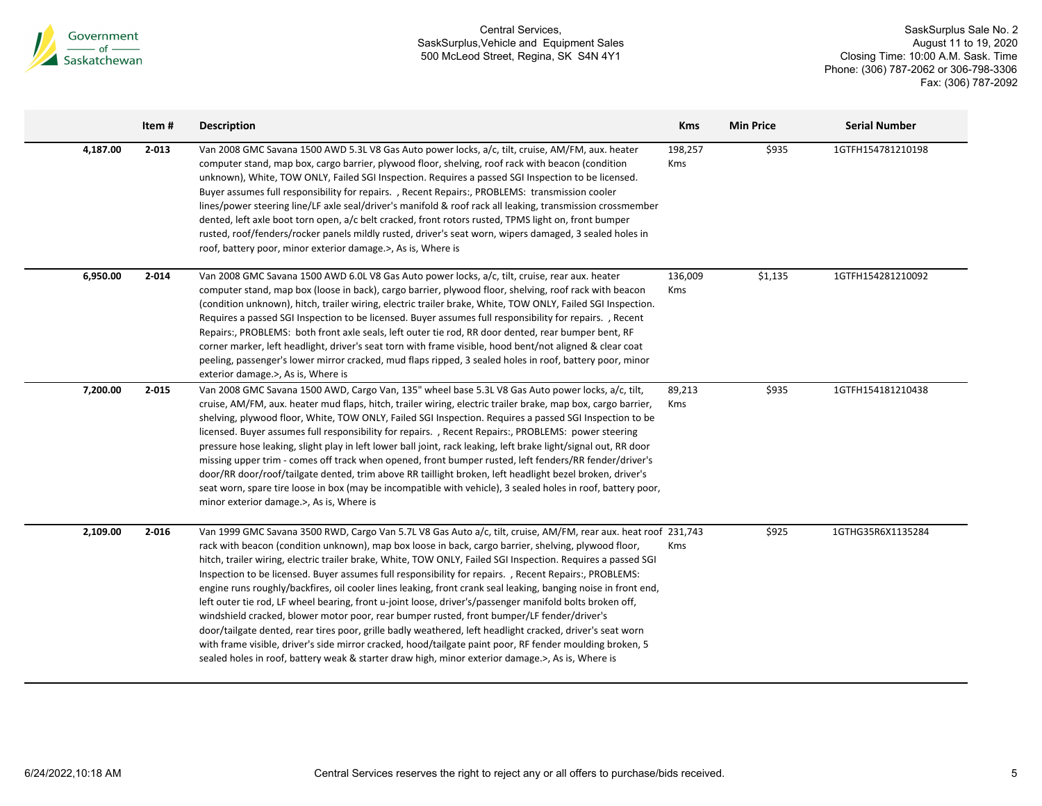

|          | Item#     | <b>Description</b>                                                                                                                                                                                                                                                                                                                                                                                                                                                                                                                                                                                                                                                                                                                                                                                                                                                                                                                                                                                                                                                                                        | <b>Kms</b>     | <b>Min Price</b> | <b>Serial Number</b> |
|----------|-----------|-----------------------------------------------------------------------------------------------------------------------------------------------------------------------------------------------------------------------------------------------------------------------------------------------------------------------------------------------------------------------------------------------------------------------------------------------------------------------------------------------------------------------------------------------------------------------------------------------------------------------------------------------------------------------------------------------------------------------------------------------------------------------------------------------------------------------------------------------------------------------------------------------------------------------------------------------------------------------------------------------------------------------------------------------------------------------------------------------------------|----------------|------------------|----------------------|
| 4,187.00 | $2 - 013$ | Van 2008 GMC Savana 1500 AWD 5.3L V8 Gas Auto power locks, a/c, tilt, cruise, AM/FM, aux. heater<br>computer stand, map box, cargo barrier, plywood floor, shelving, roof rack with beacon (condition<br>unknown), White, TOW ONLY, Failed SGI Inspection. Requires a passed SGI Inspection to be licensed.<br>Buyer assumes full responsibility for repairs. , Recent Repairs:, PROBLEMS: transmission cooler<br>lines/power steering line/LF axle seal/driver's manifold & roof rack all leaking, transmission crossmember<br>dented, left axle boot torn open, a/c belt cracked, front rotors rusted, TPMS light on, front bumper<br>rusted, roof/fenders/rocker panels mildly rusted, driver's seat worn, wipers damaged, 3 sealed holes in<br>roof, battery poor, minor exterior damage.>, As is, Where is                                                                                                                                                                                                                                                                                           | 198,257<br>Kms | \$935            | 1GTFH154781210198    |
| 6,950.00 | $2 - 014$ | Van 2008 GMC Savana 1500 AWD 6.0L V8 Gas Auto power locks, a/c, tilt, cruise, rear aux. heater<br>computer stand, map box (loose in back), cargo barrier, plywood floor, shelving, roof rack with beacon<br>(condition unknown), hitch, trailer wiring, electric trailer brake, White, TOW ONLY, Failed SGI Inspection.<br>Requires a passed SGI Inspection to be licensed. Buyer assumes full responsibility for repairs. , Recent<br>Repairs:, PROBLEMS: both front axle seals, left outer tie rod, RR door dented, rear bumper bent, RF<br>corner marker, left headlight, driver's seat torn with frame visible, hood bent/not aligned & clear coat<br>peeling, passenger's lower mirror cracked, mud flaps ripped, 3 sealed holes in roof, battery poor, minor<br>exterior damage.>, As is, Where is                                                                                                                                                                                                                                                                                                  | 136,009<br>Kms | \$1,135          | 1GTFH154281210092    |
| 7,200.00 | $2 - 015$ | Van 2008 GMC Savana 1500 AWD, Cargo Van, 135" wheel base 5.3L V8 Gas Auto power locks, a/c, tilt,<br>cruise, AM/FM, aux. heater mud flaps, hitch, trailer wiring, electric trailer brake, map box, cargo barrier,<br>shelving, plywood floor, White, TOW ONLY, Failed SGI Inspection. Requires a passed SGI Inspection to be<br>licensed. Buyer assumes full responsibility for repairs., Recent Repairs:, PROBLEMS: power steering<br>pressure hose leaking, slight play in left lower ball joint, rack leaking, left brake light/signal out, RR door<br>missing upper trim - comes off track when opened, front bumper rusted, left fenders/RR fender/driver's<br>door/RR door/roof/tailgate dented, trim above RR taillight broken, left headlight bezel broken, driver's<br>seat worn, spare tire loose in box (may be incompatible with vehicle), 3 sealed holes in roof, battery poor,<br>minor exterior damage.>, As is, Where is                                                                                                                                                                  | 89,213<br>Kms  | \$935            | 1GTFH154181210438    |
| 2,109.00 | $2 - 016$ | Van 1999 GMC Savana 3500 RWD, Cargo Van 5.7L V8 Gas Auto a/c, tilt, cruise, AM/FM, rear aux. heat roof 231,743<br>rack with beacon (condition unknown), map box loose in back, cargo barrier, shelving, plywood floor,<br>hitch, trailer wiring, electric trailer brake, White, TOW ONLY, Failed SGI Inspection. Requires a passed SGI<br>Inspection to be licensed. Buyer assumes full responsibility for repairs. , Recent Repairs:, PROBLEMS:<br>engine runs roughly/backfires, oil cooler lines leaking, front crank seal leaking, banging noise in front end,<br>left outer tie rod, LF wheel bearing, front u-joint loose, driver's/passenger manifold bolts broken off,<br>windshield cracked, blower motor poor, rear bumper rusted, front bumper/LF fender/driver's<br>door/tailgate dented, rear tires poor, grille badly weathered, left headlight cracked, driver's seat worn<br>with frame visible, driver's side mirror cracked, hood/tailgate paint poor, RF fender moulding broken, 5<br>sealed holes in roof, battery weak & starter draw high, minor exterior damage.>, As is, Where is | Kms            | \$925            | 1GTHG35R6X1135284    |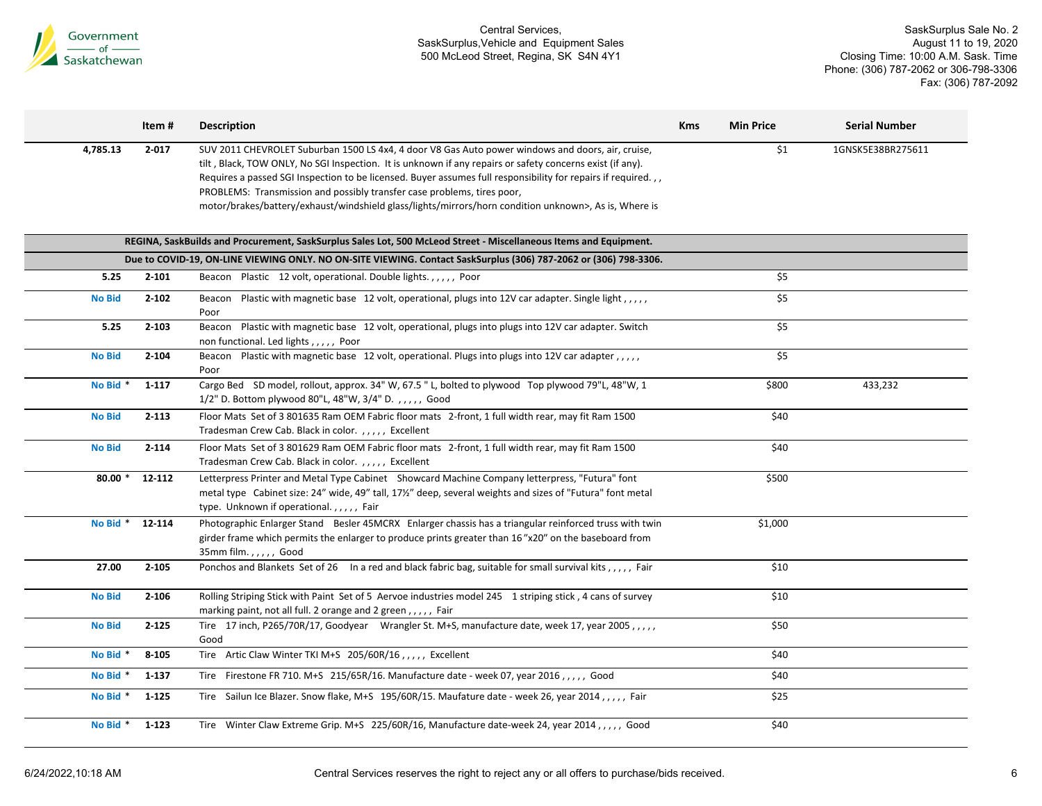

|               | Item#     | <b>Description</b>                                                                                                                                                                                                                                                                                                                                                                                                                                                                                                  | <b>Kms</b> | <b>Min Price</b> | <b>Serial Number</b> |
|---------------|-----------|---------------------------------------------------------------------------------------------------------------------------------------------------------------------------------------------------------------------------------------------------------------------------------------------------------------------------------------------------------------------------------------------------------------------------------------------------------------------------------------------------------------------|------------|------------------|----------------------|
| 4,785.13      | $2 - 017$ | SUV 2011 CHEVROLET Suburban 1500 LS 4x4, 4 door V8 Gas Auto power windows and doors, air, cruise,<br>tilt, Black, TOW ONLY, No SGI Inspection. It is unknown if any repairs or safety concerns exist (if any).<br>Requires a passed SGI Inspection to be licensed. Buyer assumes full responsibility for repairs if required.,,<br>PROBLEMS: Transmission and possibly transfer case problems, tires poor,<br>motor/brakes/battery/exhaust/windshield glass/lights/mirrors/horn condition unknown>, As is, Where is |            | \$1              | 1GNSK5E38BR275611    |
|               |           | REGINA, SaskBuilds and Procurement, SaskSurplus Sales Lot, 500 McLeod Street - Miscellaneous Items and Equipment.                                                                                                                                                                                                                                                                                                                                                                                                   |            |                  |                      |
|               |           | Due to COVID-19, ON-LINE VIEWING ONLY. NO ON-SITE VIEWING. Contact SaskSurplus (306) 787-2062 or (306) 798-3306.                                                                                                                                                                                                                                                                                                                                                                                                    |            |                  |                      |
| 5.25          | $2 - 101$ | Beacon Plastic 12 volt, operational. Double lights.,,,,, Poor                                                                                                                                                                                                                                                                                                                                                                                                                                                       |            | \$5              |                      |
| <b>No Bid</b> | $2 - 102$ | Beacon Plastic with magnetic base 12 volt, operational, plugs into 12V car adapter. Single light, .,,,<br>Poor                                                                                                                                                                                                                                                                                                                                                                                                      |            | \$5              |                      |
| 5.25          | $2 - 103$ | Beacon Plastic with magnetic base 12 volt, operational, plugs into plugs into 12V car adapter. Switch<br>non functional. Led lights,,,,, Poor                                                                                                                                                                                                                                                                                                                                                                       |            | \$5              |                      |
| <b>No Bid</b> | $2 - 104$ | Beacon Plastic with magnetic base 12 volt, operational. Plugs into plugs into 12V car adapter,,,,,<br>Poor                                                                                                                                                                                                                                                                                                                                                                                                          |            | \$5              |                      |
| No Bid *      | $1 - 117$ | Cargo Bed SD model, rollout, approx. 34" W, 67.5 " L, bolted to plywood Top plywood 79"L, 48"W, 1<br>1/2" D. Bottom plywood 80"L, 48"W, 3/4" D.,,,,, Good                                                                                                                                                                                                                                                                                                                                                           |            | \$800            | 433,232              |
| <b>No Bid</b> | $2 - 113$ | Floor Mats Set of 3 801635 Ram OEM Fabric floor mats 2-front, 1 full width rear, may fit Ram 1500<br>Tradesman Crew Cab. Black in color.,,,,, Excellent                                                                                                                                                                                                                                                                                                                                                             |            | \$40             |                      |
| <b>No Bid</b> | $2 - 114$ | Floor Mats Set of 3 801629 Ram OEM Fabric floor mats 2-front, 1 full width rear, may fit Ram 1500<br>Tradesman Crew Cab. Black in color.,,,,, Excellent                                                                                                                                                                                                                                                                                                                                                             |            | \$40             |                      |
| $80.00*$      | 12-112    | Letterpress Printer and Metal Type Cabinet Showcard Machine Company letterpress, "Futura" font<br>metal type Cabinet size: 24" wide, 49" tall, 17½" deep, several weights and sizes of "Futura" font metal<br>type. Unknown if operational.,,,,, Fair                                                                                                                                                                                                                                                               |            | \$500            |                      |
| No Bid *      | 12-114    | Photographic Enlarger Stand Besler 45MCRX Enlarger chassis has a triangular reinforced truss with twin<br>girder frame which permits the enlarger to produce prints greater than 16"x20" on the baseboard from<br>35mm film.,,,,, Good                                                                                                                                                                                                                                                                              |            | \$1,000          |                      |
| 27.00         | $2 - 105$ | Ponchos and Blankets Set of 26 In a red and black fabric bag, suitable for small survival kits,,,,, Fair                                                                                                                                                                                                                                                                                                                                                                                                            |            | \$10             |                      |
| <b>No Bid</b> | $2 - 106$ | Rolling Striping Stick with Paint Set of 5 Aervoe industries model 245 1 striping stick, 4 cans of survey<br>marking paint, not all full. 2 orange and 2 green,,,,, Fair                                                                                                                                                                                                                                                                                                                                            |            | \$10             |                      |
| <b>No Bid</b> | $2 - 125$ | Tire 17 inch, P265/70R/17, Goodyear Wrangler St. M+S, manufacture date, week 17, year 2005,,,,,<br>Good                                                                                                                                                                                                                                                                                                                                                                                                             |            | \$50             |                      |
| No Bid *      | 8-105     | Tire Artic Claw Winter TKI M+S 205/60R/16,,,,, Excellent                                                                                                                                                                                                                                                                                                                                                                                                                                                            |            | \$40             |                      |
| No Bid *      | 1-137     | Tire Firestone FR 710. M+S 215/65R/16. Manufacture date - week 07, year 2016,,,,,, Good                                                                                                                                                                                                                                                                                                                                                                                                                             |            | \$40             |                      |
| No Bid *      | $1 - 125$ | Tire Sailun Ice Blazer. Snow flake, M+S 195/60R/15. Maufature date - week 26, year 2014, ,,,,, Fair                                                                                                                                                                                                                                                                                                                                                                                                                 |            | \$25             |                      |
| No Bid *      | $1 - 123$ | Tire Winter Claw Extreme Grip. M+S 225/60R/16, Manufacture date-week 24, year 2014,,,,,, Good                                                                                                                                                                                                                                                                                                                                                                                                                       |            | \$40             |                      |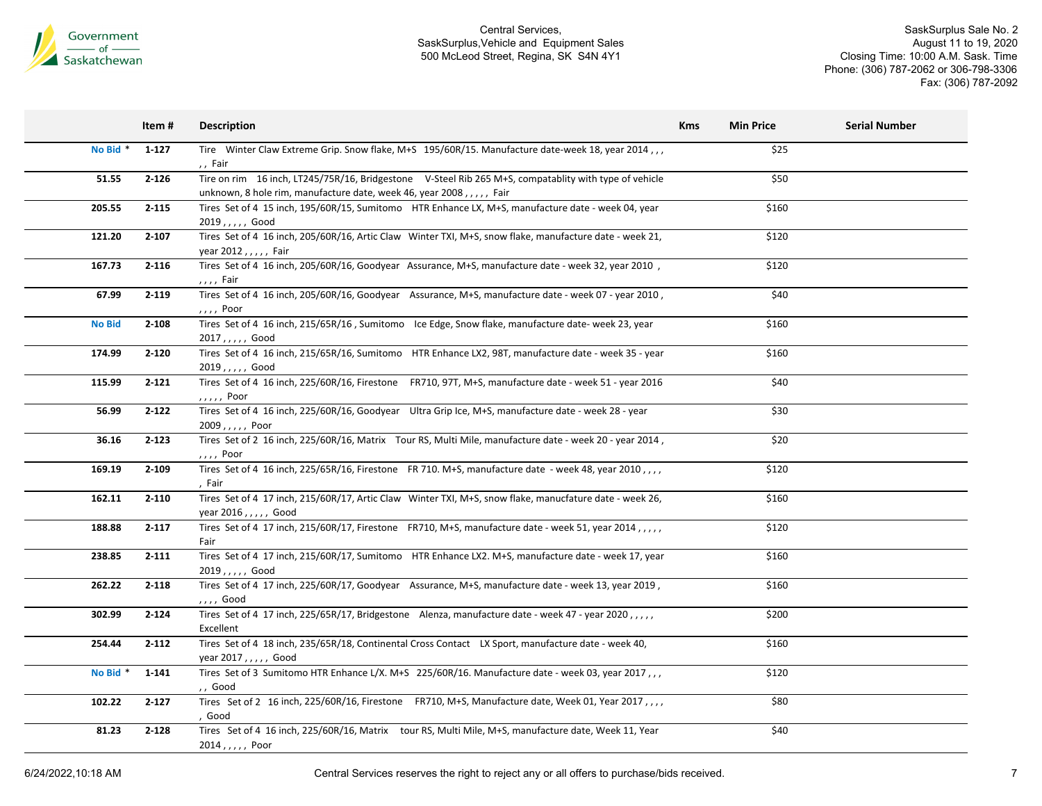

SaskSurplus Sale No. 2 August 11 to 19, 2020 Closing Time: 10:00 A.M. Sask. Time Phone: (306) 787-2062 or 306-798-3306 Fax: (306) 787-2092

|                     | Item#     | <b>Description</b>                                                                                                                                                           | <b>Kms</b> | <b>Min Price</b> | <b>Serial Number</b> |
|---------------------|-----------|------------------------------------------------------------------------------------------------------------------------------------------------------------------------------|------------|------------------|----------------------|
| No Bid <sup>*</sup> | 1-127     | Tire Winter Claw Extreme Grip. Snow flake, M+S 195/60R/15. Manufacture date-week 18, year 2014,,,<br>,, Fair                                                                 |            | \$25             |                      |
| 51.55               | $2 - 126$ | Tire on rim 16 inch, LT245/75R/16, Bridgestone V-Steel Rib 265 M+S, compatablity with type of vehicle<br>unknown, 8 hole rim, manufacture date, week 46, year 2008,,,,, Fair |            | \$50             |                      |
| 205.55              | $2 - 115$ | Tires Set of 4 15 inch, 195/60R/15, Sumitomo HTR Enhance LX, M+S, manufacture date - week 04, year<br>$2019, , , , ,$ Good                                                   |            | \$160            |                      |
| 121.20              | $2 - 107$ | Tires Set of 4 16 inch, 205/60R/16, Artic Claw Winter TXI, M+S, snow flake, manufacture date - week 21,<br>year 2012, $, \, \cdot \,$ , Fair                                 |            | \$120            |                      |
| 167.73              | $2 - 116$ | Tires Set of 4 16 inch, 205/60R/16, Goodyear Assurance, M+S, manufacture date - week 32, year 2010,<br>,,,, Fair                                                             |            | \$120            |                      |
| 67.99               | $2 - 119$ | Tires Set of 4 16 inch, 205/60R/16, Goodyear Assurance, M+S, manufacture date - week 07 - year 2010,<br>,,,, Poor                                                            |            | \$40             |                      |
| <b>No Bid</b>       | $2 - 108$ | Tires Set of 4 16 inch, 215/65R/16, Sumitomo Ice Edge, Snow flake, manufacture date-week 23, year<br>$2017, , , , ,$ Good                                                    |            | \$160            |                      |
| 174.99              | $2 - 120$ | Tires Set of 4 16 inch, 215/65R/16, Sumitomo HTR Enhance LX2, 98T, manufacture date - week 35 - year<br>$2019, , , , ,$ Good                                                 |            | \$160            |                      |
| 115.99              | $2 - 121$ | Tires Set of 4 16 inch, 225/60R/16, Firestone FR710, 97T, M+S, manufacture date - week 51 - year 2016<br>$, \ldots$ , Poor                                                   |            | \$40             |                      |
| 56.99               | $2 - 122$ | Tires Set of 4 16 inch, 225/60R/16, Goodyear Ultra Grip Ice, M+S, manufacture date - week 28 - year<br>2009,,,,, Poor                                                        |            | \$30             |                      |
| 36.16               | $2 - 123$ | Tires Set of 2 16 inch, 225/60R/16, Matrix Tour RS, Multi Mile, manufacture date - week 20 - year 2014,<br>,,,, Poor                                                         |            | \$20             |                      |
| 169.19              | $2 - 109$ | Tires Set of 4 16 inch, 225/65R/16, Firestone FR 710. M+S, manufacture date - week 48, year 2010, , , ,<br>, Fair                                                            |            | \$120            |                      |
| 162.11              | $2 - 110$ | Tires Set of 4 17 inch, 215/60R/17, Artic Claw Winter TXI, M+S, snow flake, manucfature date - week 26,<br>year 2016, , , , , Good                                           |            | \$160            |                      |
| 188.88              | $2 - 117$ | Tires Set of 4 17 inch, 215/60R/17, Firestone FR710, M+S, manufacture date - week 51, year 2014,,,,,<br>Fair                                                                 |            | \$120            |                      |
| 238.85              | $2 - 111$ | Tires Set of 4 17 inch, 215/60R/17, Sumitomo HTR Enhance LX2. M+S, manufacture date - week 17, year<br>2019,,,,,Good                                                         |            | \$160            |                      |
| 262.22              | $2 - 118$ | Tires Set of 4 17 inch, 225/60R/17, Goodyear Assurance, M+S, manufacture date - week 13, year 2019,<br>,,,, Good                                                             |            | \$160            |                      |
| 302.99              | $2 - 124$ | Tires Set of 4 17 inch, 225/65R/17, Bridgestone Alenza, manufacture date - week 47 - year 2020,,,,,<br>Excellent                                                             |            | \$200            |                      |
| 254.44              | $2 - 112$ | Tires Set of 4 18 inch, 235/65R/18, Continental Cross Contact LX Sport, manufacture date - week 40,<br>year 2017,,,,, Good                                                   |            | \$160            |                      |
| No Bid *            | 1-141     | Tires Set of 3 Sumitomo HTR Enhance L/X. M+S 225/60R/16. Manufacture date - week 03, year 2017,,,<br>,, Good                                                                 |            | \$120            |                      |
| 102.22              | $2 - 127$ | Tires Set of 2 16 inch, 225/60R/16, Firestone FR710, M+S, Manufacture date, Week 01, Year 2017, ,,,<br>, Good                                                                |            | \$80             |                      |
| 81.23               | $2 - 128$ | Tires Set of 4 16 inch, 225/60R/16, Matrix tour RS, Multi Mile, M+S, manufacture date, Week 11, Year<br>$2014, , , , ,$ Poor                                                 |            | \$40             |                      |

6/24/2022,10:18 AM Central Services reserves the right to reject any or all offers to purchase/bids received. 7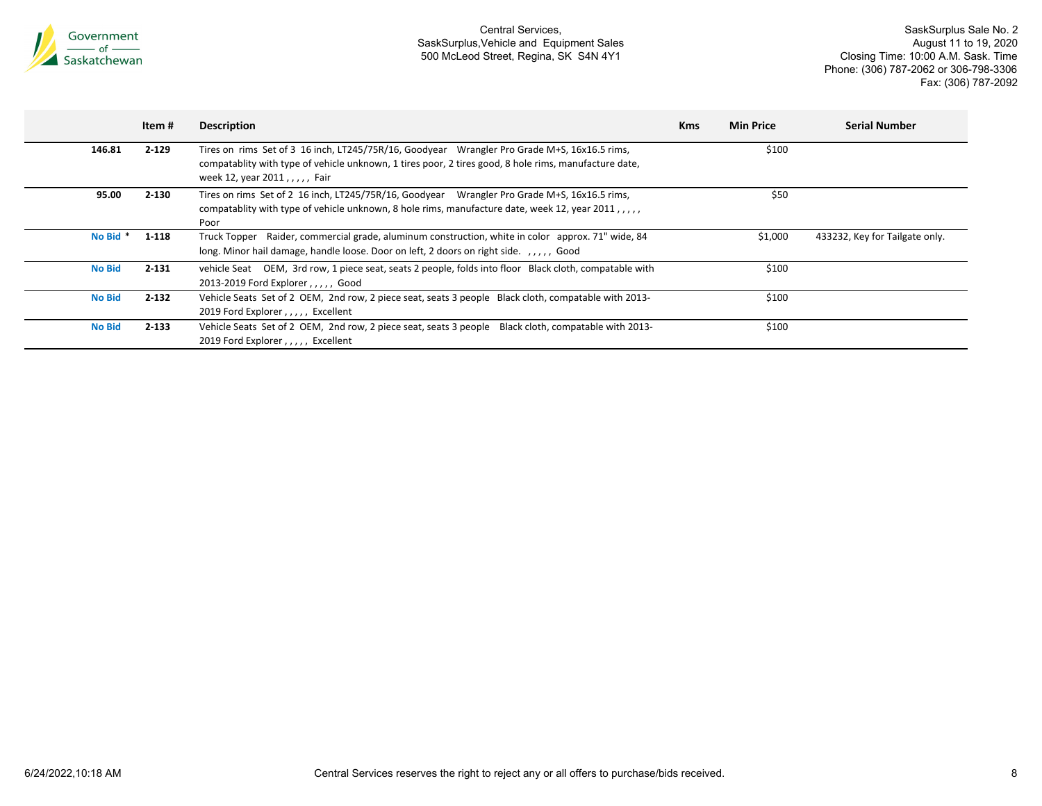

|               | Item #    | <b>Description</b>                                                                                                                                                                                                                    | <b>Kms</b> | <b>Min Price</b> | <b>Serial Number</b>           |
|---------------|-----------|---------------------------------------------------------------------------------------------------------------------------------------------------------------------------------------------------------------------------------------|------------|------------------|--------------------------------|
| 146.81        | $2 - 129$ | Tires on rims Set of 3 16 inch, LT245/75R/16, Goodyear Wrangler Pro Grade M+S, 16x16.5 rims,<br>compatablity with type of vehicle unknown, 1 tires poor, 2 tires good, 8 hole rims, manufacture date,<br>week 12, year 2011,,,,, Fair |            | \$100            |                                |
| 95.00         | $2 - 130$ | Tires on rims Set of 2 16 inch, LT245/75R/16, Goodyear Wrangler Pro Grade M+S, 16x16.5 rims,<br>compatablity with type of vehicle unknown, 8 hole rims, manufacture date, week 12, year 2011, ,<br>Poor                               |            | \$50             |                                |
| No Bid *      | 1-118     | Truck Topper Raider, commercial grade, aluminum construction, white in color approx. 71" wide, 84<br>long. Minor hail damage, handle loose. Door on left, 2 doors on right side. , Good                                               |            | \$1,000          | 433232, Key for Tailgate only. |
| <b>No Bid</b> | $2 - 131$ | vehicle Seat OEM, 3rd row, 1 piece seat, seats 2 people, folds into floor Black cloth, compatable with<br>2013-2019 Ford Explorer Good                                                                                                |            | \$100            |                                |
| <b>No Bid</b> | $2 - 132$ | Vehicle Seats Set of 2 OEM, 2nd row, 2 piece seat, seats 3 people Black cloth, compatable with 2013-<br>2019 Ford Explorer, , Excellent                                                                                               |            | \$100            |                                |
| <b>No Bid</b> | 2-133     | Vehicle Seats Set of 2 OEM, 2nd row, 2 piece seat, seats 3 people Black cloth, compatable with 2013-<br>2019 Ford Explorer,,,,, Excellent                                                                                             |            | \$100            |                                |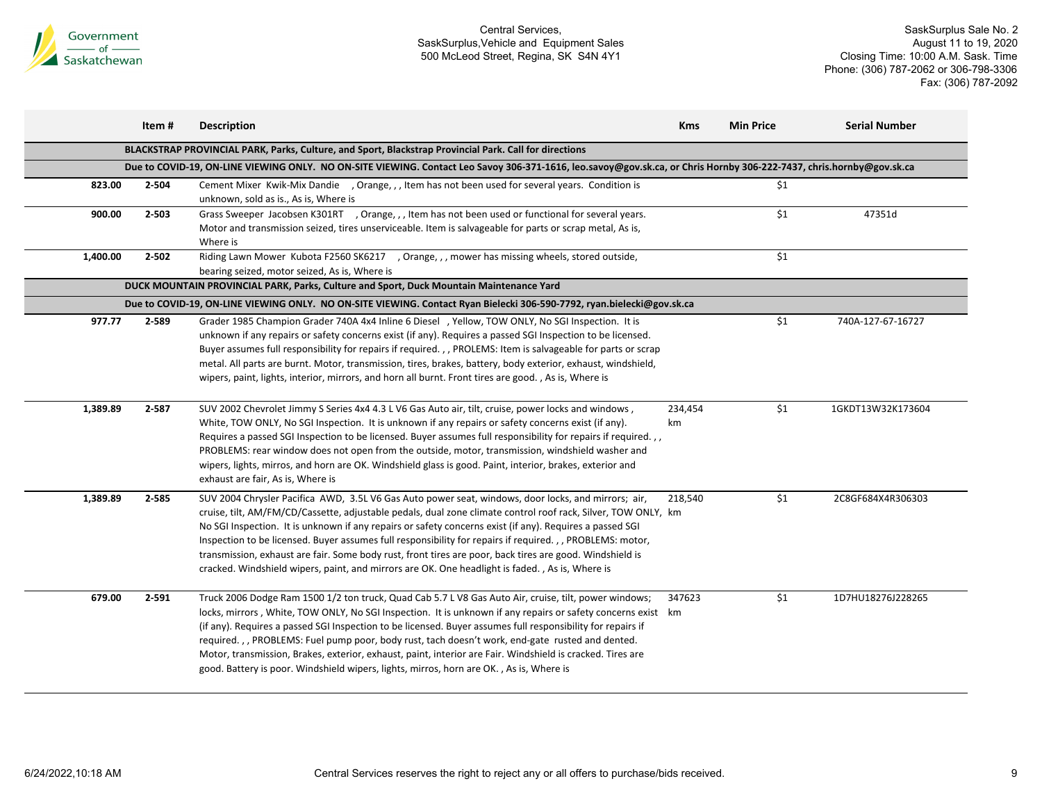

|          | Item# | <b>Description</b>                                                                                                                                                                                                                                                                                                                                                                                                                                                                                                                                                                                                                                           | <b>Kms</b>    | <b>Min Price</b> | <b>Serial Number</b> |
|----------|-------|--------------------------------------------------------------------------------------------------------------------------------------------------------------------------------------------------------------------------------------------------------------------------------------------------------------------------------------------------------------------------------------------------------------------------------------------------------------------------------------------------------------------------------------------------------------------------------------------------------------------------------------------------------------|---------------|------------------|----------------------|
|          |       | BLACKSTRAP PROVINCIAL PARK, Parks, Culture, and Sport, Blackstrap Provincial Park. Call for directions                                                                                                                                                                                                                                                                                                                                                                                                                                                                                                                                                       |               |                  |                      |
|          |       | Due to COVID-19, ON-LINE VIEWING ONLY. NO ON-SITE VIEWING. Contact Leo Savoy 306-371-1616, leo.savoy@gov.sk.ca, or Chris Hornby 306-222-7437, chris.hornby@gov.sk.ca                                                                                                                                                                                                                                                                                                                                                                                                                                                                                         |               |                  |                      |
| 823.00   | 2-504 | Cement Mixer Kwik-Mix Dandie , Orange, , , Item has not been used for several years. Condition is                                                                                                                                                                                                                                                                                                                                                                                                                                                                                                                                                            |               | \$1              |                      |
| 900.00   | 2-503 | unknown, sold as is., As is, Where is<br>Grass Sweeper Jacobsen K301RT , Orange, , , Item has not been used or functional for several years.<br>Motor and transmission seized, tires unserviceable. Item is salvageable for parts or scrap metal, As is,<br>Where is                                                                                                                                                                                                                                                                                                                                                                                         |               | \$1              | 47351d               |
| 1,400.00 | 2-502 | Riding Lawn Mower Kubota F2560 SK6217 , Orange, , , mower has missing wheels, stored outside,<br>bearing seized, motor seized, As is, Where is                                                                                                                                                                                                                                                                                                                                                                                                                                                                                                               |               | \$1              |                      |
|          |       | DUCK MOUNTAIN PROVINCIAL PARK, Parks, Culture and Sport, Duck Mountain Maintenance Yard                                                                                                                                                                                                                                                                                                                                                                                                                                                                                                                                                                      |               |                  |                      |
|          |       | Due to COVID-19, ON-LINE VIEWING ONLY. NO ON-SITE VIEWING. Contact Ryan Bielecki 306-590-7792, ryan.bielecki@gov.sk.ca                                                                                                                                                                                                                                                                                                                                                                                                                                                                                                                                       |               |                  |                      |
| 977.77   | 2-589 | Grader 1985 Champion Grader 740A 4x4 Inline 6 Diesel , Yellow, TOW ONLY, No SGI Inspection. It is<br>unknown if any repairs or safety concerns exist (if any). Requires a passed SGI Inspection to be licensed.<br>Buyer assumes full responsibility for repairs if required., , PROLEMS: Item is salvageable for parts or scrap<br>metal. All parts are burnt. Motor, transmission, tires, brakes, battery, body exterior, exhaust, windshield,<br>wipers, paint, lights, interior, mirrors, and horn all burnt. Front tires are good., As is, Where is                                                                                                     |               | \$1              | 740A-127-67-16727    |
| 1,389.89 | 2-587 | SUV 2002 Chevrolet Jimmy S Series 4x4 4.3 L V6 Gas Auto air, tilt, cruise, power locks and windows,<br>White, TOW ONLY, No SGI Inspection. It is unknown if any repairs or safety concerns exist (if any).<br>Requires a passed SGI Inspection to be licensed. Buyer assumes full responsibility for repairs if required.,,<br>PROBLEMS: rear window does not open from the outside, motor, transmission, windshield washer and<br>wipers, lights, mirros, and horn are OK. Windshield glass is good. Paint, interior, brakes, exterior and<br>exhaust are fair, As is, Where is                                                                             | 234,454<br>km | \$1              | 1GKDT13W32K173604    |
| 1,389.89 | 2-585 | SUV 2004 Chrysler Pacifica AWD, 3.5L V6 Gas Auto power seat, windows, door locks, and mirrors; air,<br>cruise, tilt, AM/FM/CD/Cassette, adjustable pedals, dual zone climate control roof rack, Silver, TOW ONLY, km<br>No SGI Inspection. It is unknown if any repairs or safety concerns exist (if any). Requires a passed SGI<br>Inspection to be licensed. Buyer assumes full responsibility for repairs if required., , PROBLEMS: motor,<br>transmission, exhaust are fair. Some body rust, front tires are poor, back tires are good. Windshield is<br>cracked. Windshield wipers, paint, and mirrors are OK. One headlight is faded., As is, Where is | 218,540       | \$1              | 2C8GF684X4R306303    |
| 679.00   | 2-591 | Truck 2006 Dodge Ram 1500 1/2 ton truck, Quad Cab 5.7 L V8 Gas Auto Air, cruise, tilt, power windows;<br>locks, mirrors, White, TOW ONLY, No SGI Inspection. It is unknown if any repairs or safety concerns exist km<br>(if any). Requires a passed SGI Inspection to be licensed. Buyer assumes full responsibility for repairs if<br>required.,, PROBLEMS: Fuel pump poor, body rust, tach doesn't work, end-gate rusted and dented.<br>Motor, transmission, Brakes, exterior, exhaust, paint, interior are Fair. Windshield is cracked. Tires are<br>good. Battery is poor. Windshield wipers, lights, mirros, horn are OK., As is, Where is             | 347623        | \$1              | 1D7HU18276J228265    |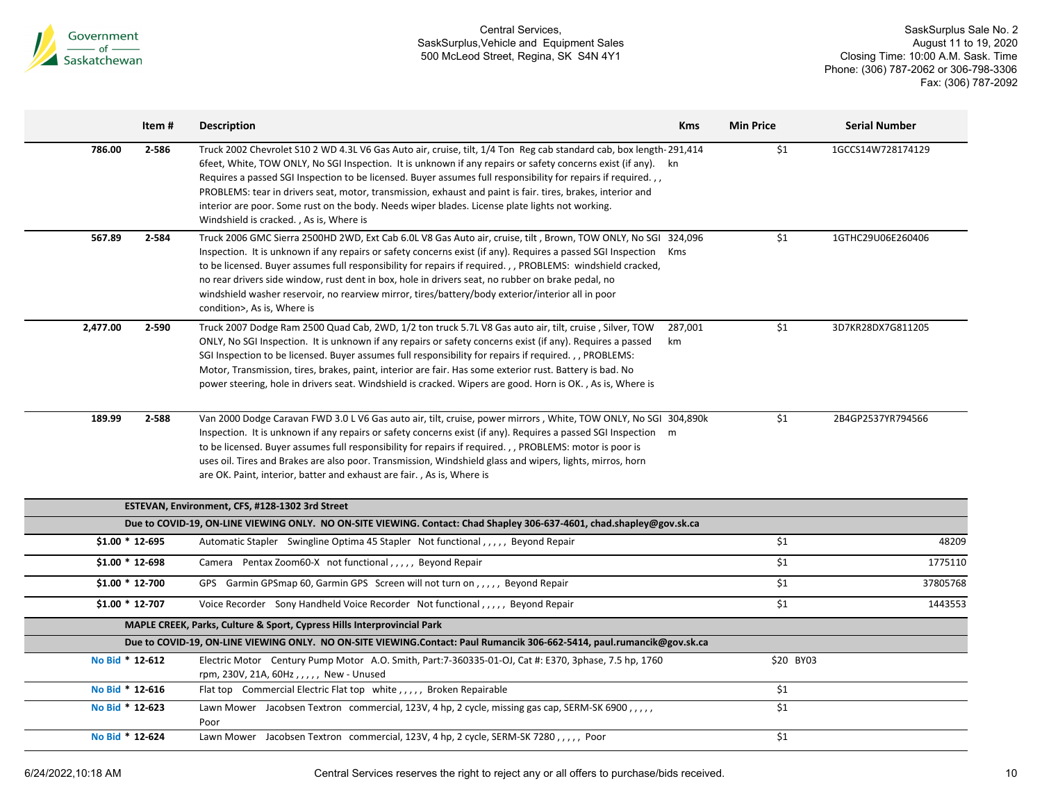

|                  | Item # | <b>Description</b>                                                                                                                                                                                                                                                                                                                                                                                                                                                                                                                                                                                                | <b>Kms</b>    | <b>Min Price</b> | <b>Serial Number</b> |
|------------------|--------|-------------------------------------------------------------------------------------------------------------------------------------------------------------------------------------------------------------------------------------------------------------------------------------------------------------------------------------------------------------------------------------------------------------------------------------------------------------------------------------------------------------------------------------------------------------------------------------------------------------------|---------------|------------------|----------------------|
| 786.00           | 2-586  | Truck 2002 Chevrolet S10 2 WD 4.3L V6 Gas Auto air, cruise, tilt, 1/4 Ton Reg cab standard cab, box length-291,414<br>6feet, White, TOW ONLY, No SGI Inspection. It is unknown if any repairs or safety concerns exist (if any). kn<br>Requires a passed SGI Inspection to be licensed. Buyer assumes full responsibility for repairs if required.,,<br>PROBLEMS: tear in drivers seat, motor, transmission, exhaust and paint is fair. tires, brakes, interior and<br>interior are poor. Some rust on the body. Needs wiper blades. License plate lights not working.<br>Windshield is cracked., As is, Where is |               | \$1              | 1GCCS14W728174129    |
| 567.89           | 2-584  | Truck 2006 GMC Sierra 2500HD 2WD, Ext Cab 6.0L V8 Gas Auto air, cruise, tilt, Brown, TOW ONLY, No SGI 324,096<br>Inspection. It is unknown if any repairs or safety concerns exist (if any). Requires a passed SGI Inspection Kms<br>to be licensed. Buyer assumes full responsibility for repairs if required., , PROBLEMS: windshield cracked,<br>no rear drivers side window, rust dent in box, hole in drivers seat, no rubber on brake pedal, no<br>windshield washer reservoir, no rearview mirror, tires/battery/body exterior/interior all in poor<br>condition>, As is, Where is                         |               | \$1              | 1GTHC29U06E260406    |
| 2,477.00         | 2-590  | Truck 2007 Dodge Ram 2500 Quad Cab, 2WD, 1/2 ton truck 5.7L V8 Gas auto air, tilt, cruise, Silver, TOW<br>ONLY, No SGI Inspection. It is unknown if any repairs or safety concerns exist (if any). Requires a passed<br>SGI Inspection to be licensed. Buyer assumes full responsibility for repairs if required., PROBLEMS:<br>Motor, Transmission, tires, brakes, paint, interior are fair. Has some exterior rust. Battery is bad. No<br>power steering, hole in drivers seat. Windshield is cracked. Wipers are good. Horn is OK., As is, Where is                                                            | 287,001<br>km | \$1              | 3D7KR28DX7G811205    |
| 189.99           | 2-588  | Van 2000 Dodge Caravan FWD 3.0 L V6 Gas auto air, tilt, cruise, power mirrors, White, TOW ONLY, No SGI 304,890k<br>Inspection. It is unknown if any repairs or safety concerns exist (if any). Requires a passed SGI Inspection m<br>to be licensed. Buyer assumes full responsibility for repairs if required.,, PROBLEMS: motor is poor is<br>uses oil. Tires and Brakes are also poor. Transmission, Windshield glass and wipers, lights, mirros, horn<br>are OK. Paint, interior, batter and exhaust are fair., As is, Where is                                                                               |               | \$1              | 2B4GP2537YR794566    |
|                  |        | ESTEVAN, Environment, CFS, #128-1302 3rd Street                                                                                                                                                                                                                                                                                                                                                                                                                                                                                                                                                                   |               |                  |                      |
|                  |        | Due to COVID-19, ON-LINE VIEWING ONLY. NO ON-SITE VIEWING. Contact: Chad Shapley 306-637-4601, chad.shapley@gov.sk.ca                                                                                                                                                                                                                                                                                                                                                                                                                                                                                             |               |                  |                      |
| $$1.00 * 12-695$ |        | Automatic Stapler Swingline Optima 45 Stapler Not functional,,,,, Beyond Repair                                                                                                                                                                                                                                                                                                                                                                                                                                                                                                                                   |               | \$1              | 48209                |
| $$1.00 * 12-698$ |        | Camera Pentax Zoom60-X not functional,,,,, Beyond Repair                                                                                                                                                                                                                                                                                                                                                                                                                                                                                                                                                          |               | \$1              | 1775110              |
| $$1.00 * 12.700$ |        | GPS Garmin GPSmap 60, Garmin GPS Screen will not turn on , , , , , Beyond Repair                                                                                                                                                                                                                                                                                                                                                                                                                                                                                                                                  |               | \$1              | 37805768             |
| $$1.00 * 12-707$ |        | Voice Recorder Sony Handheld Voice Recorder Not functional,,,,, Beyond Repair                                                                                                                                                                                                                                                                                                                                                                                                                                                                                                                                     |               | \$1              | 1443553              |
|                  |        | MAPLE CREEK, Parks, Culture & Sport, Cypress Hills Interprovincial Park                                                                                                                                                                                                                                                                                                                                                                                                                                                                                                                                           |               |                  |                      |
|                  |        | Due to COVID-19, ON-LINE VIEWING ONLY. NO ON-SITE VIEWING.Contact: Paul Rumancik 306-662-5414, paul.rumancik@gov.sk.ca                                                                                                                                                                                                                                                                                                                                                                                                                                                                                            |               |                  |                      |
| No Bid * 12-612  |        | Electric Motor Century Pump Motor A.O. Smith, Part:7-360335-01-OJ, Cat #: E370, 3phase, 7.5 hp, 1760<br>rpm, 230V, 21A, 60Hz, , , , , New - Unused                                                                                                                                                                                                                                                                                                                                                                                                                                                                |               | \$20 BY03        |                      |
| No Bid * 12-616  |        | Flat top Commercial Electric Flat top white , , , , , Broken Repairable                                                                                                                                                                                                                                                                                                                                                                                                                                                                                                                                           |               | \$1              |                      |
| No Bid * 12-623  |        | Lawn Mower Jacobsen Textron commercial, 123V, 4 hp, 2 cycle, missing gas cap, SERM-SK 6900,,,,,<br>Poor                                                                                                                                                                                                                                                                                                                                                                                                                                                                                                           |               | \$1              |                      |
| No Bid * 12-624  |        | Lawn Mower Jacobsen Textron commercial, 123V, 4 hp, 2 cycle, SERM-SK 7280, ,,,,, Poor                                                                                                                                                                                                                                                                                                                                                                                                                                                                                                                             |               | \$1              |                      |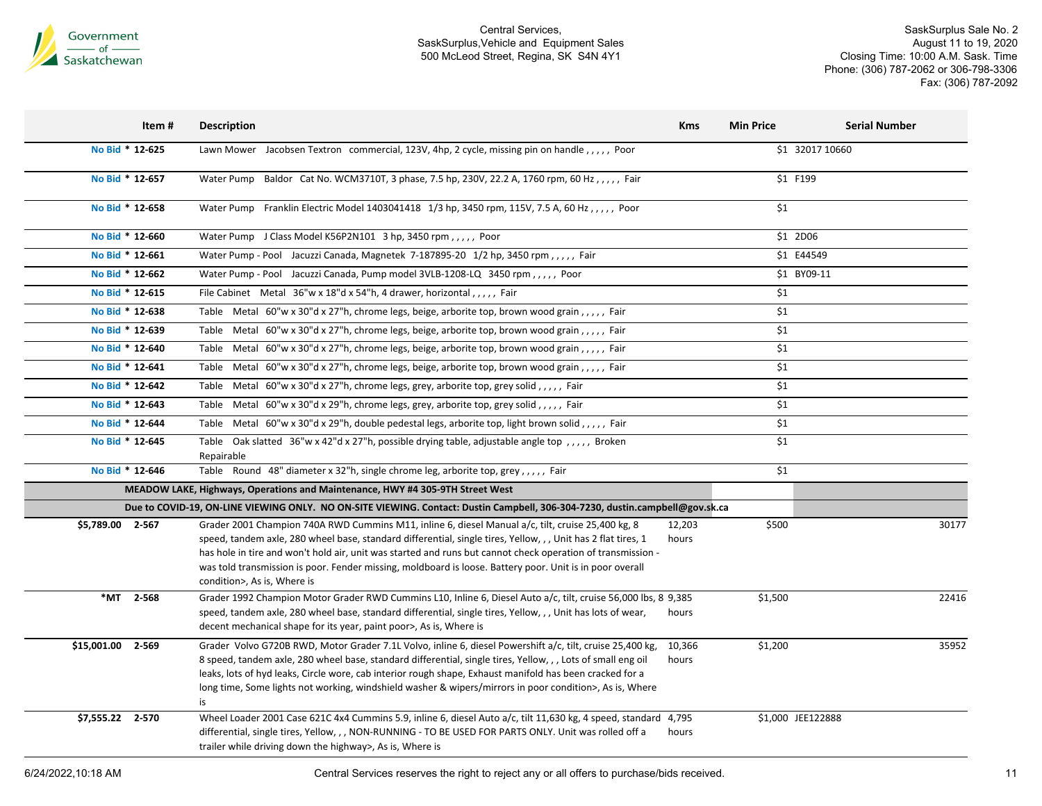

SaskSurplus Sale No. 2 August 11 to 19, 2020 Closing Time: 10:00 A.M. Sask. Time Phone: (306) 787-2062 or 306-798-3306 Fax: (306) 787-2092

|                  | Item# | <b>Description</b>                                                                                                                                                                                                                                                                                                                                                                                                                                                           | <b>Kms</b>      | <b>Min Price</b>  | <b>Serial Number</b> |       |
|------------------|-------|------------------------------------------------------------------------------------------------------------------------------------------------------------------------------------------------------------------------------------------------------------------------------------------------------------------------------------------------------------------------------------------------------------------------------------------------------------------------------|-----------------|-------------------|----------------------|-------|
| No Bid * 12-625  |       | Lawn Mower Jacobsen Textron commercial, 123V, 4hp, 2 cycle, missing pin on handle, , , , , Poor                                                                                                                                                                                                                                                                                                                                                                              |                 |                   | \$1 32017 10660      |       |
| No Bid * 12-657  |       | Water Pump Baldor Cat No. WCM3710T, 3 phase, 7.5 hp, 230V, 22.2 A, 1760 rpm, 60 Hz,,,,, Fair                                                                                                                                                                                                                                                                                                                                                                                 |                 | \$1 F199          |                      |       |
| No Bid * 12-658  |       | Water Pump Franklin Electric Model 1403041418 1/3 hp, 3450 rpm, 115V, 7.5 A, 60 Hz, ,,,,, Poor                                                                                                                                                                                                                                                                                                                                                                               |                 | \$1               |                      |       |
| No Bid * 12-660  |       | Water Pump J Class Model K56P2N101 3 hp, 3450 rpm,,,,, Poor                                                                                                                                                                                                                                                                                                                                                                                                                  |                 | \$1 2D06          |                      |       |
| No Bid * 12-661  |       | Water Pump - Pool Jacuzzi Canada, Magnetek 7-187895-20 1/2 hp, 3450 rpm,,,,, Fair                                                                                                                                                                                                                                                                                                                                                                                            |                 | \$1 E44549        |                      |       |
| No Bid * 12-662  |       | Water Pump - Pool Jacuzzi Canada, Pump model 3VLB-1208-LQ 3450 rpm,,,,, Poor                                                                                                                                                                                                                                                                                                                                                                                                 |                 |                   | \$1 BY09-11          |       |
| No Bid * 12-615  |       | File Cabinet Metal 36"w x 18"d x 54"h, 4 drawer, horizontal,,,,, Fair                                                                                                                                                                                                                                                                                                                                                                                                        |                 | \$1               |                      |       |
| No Bid * 12-638  |       | Table Metal 60"w x 30"d x 27"h, chrome legs, beige, arborite top, brown wood grain,,,,, Fair                                                                                                                                                                                                                                                                                                                                                                                 |                 | \$1               |                      |       |
| No Bid * 12-639  |       | Table Metal 60"w x 30"d x 27"h, chrome legs, beige, arborite top, brown wood grain,,,,, Fair                                                                                                                                                                                                                                                                                                                                                                                 |                 | \$1               |                      |       |
| No Bid * 12-640  |       | Table Metal 60"w x 30"d x 27"h, chrome legs, beige, arborite top, brown wood grain,,,,, Fair                                                                                                                                                                                                                                                                                                                                                                                 |                 | \$1               |                      |       |
| No Bid * 12-641  |       | Table Metal 60"w x 30"d x 27"h, chrome legs, beige, arborite top, brown wood grain,,,,, Fair                                                                                                                                                                                                                                                                                                                                                                                 |                 | \$1               |                      |       |
| No Bid * 12-642  |       | Table Metal 60"w x 30"d x 27"h, chrome legs, grey, arborite top, grey solid,,,,,, Fair                                                                                                                                                                                                                                                                                                                                                                                       |                 | \$1               |                      |       |
| No Bid * 12-643  |       | Table Metal 60"w x 30"d x 29"h, chrome legs, grey, arborite top, grey solid,,,,,, Fair                                                                                                                                                                                                                                                                                                                                                                                       |                 | \$1               |                      |       |
| No Bid * 12-644  |       | Table Metal 60"w x 30"d x 29"h, double pedestal legs, arborite top, light brown solid,,,,,, Fair                                                                                                                                                                                                                                                                                                                                                                             |                 | \$1               |                      |       |
| No Bid * 12-645  |       | Table Oak slatted 36"w x 42"d x 27"h, possible drying table, adjustable angle top,,,,, Broken<br>Repairable                                                                                                                                                                                                                                                                                                                                                                  |                 | \$1               |                      |       |
| No Bid * 12-646  |       | Table Round 48" diameter x 32"h, single chrome leg, arborite top, grey,,,,, Fair                                                                                                                                                                                                                                                                                                                                                                                             |                 | \$1               |                      |       |
|                  |       | MEADOW LAKE, Highways, Operations and Maintenance, HWY #4 305-9TH Street West                                                                                                                                                                                                                                                                                                                                                                                                |                 |                   |                      |       |
|                  |       | Due to COVID-19, ON-LINE VIEWING ONLY. NO ON-SITE VIEWING. Contact: Dustin Campbell, 306-304-7230, dustin.campbell@gov.sk.ca                                                                                                                                                                                                                                                                                                                                                 |                 |                   |                      |       |
| \$5,789.00 2-567 |       | Grader 2001 Champion 740A RWD Cummins M11, inline 6, diesel Manual a/c, tilt, cruise 25,400 kg, 8<br>speed, tandem axle, 280 wheel base, standard differential, single tires, Yellow, , , Unit has 2 flat tires, 1<br>has hole in tire and won't hold air, unit was started and runs but cannot check operation of transmission -<br>was told transmission is poor. Fender missing, moldboard is loose. Battery poor. Unit is in poor overall<br>condition>, As is, Where is | 12,203<br>hours | \$500             |                      | 30177 |
| *MT 2-568        |       | Grader 1992 Champion Motor Grader RWD Cummins L10, Inline 6, Diesel Auto a/c, tilt, cruise 56,000 lbs, 8 9,385<br>speed, tandem axle, 280 wheel base, standard differential, single tires, Yellow, , , Unit has lots of wear,<br>decent mechanical shape for its year, paint poor>, As is, Where is                                                                                                                                                                          | hours           | \$1,500           |                      | 22416 |
| \$15,001.00      | 2-569 | Grader Volvo G720B RWD, Motor Grader 7.1L Volvo, inline 6, diesel Powershift a/c, tilt, cruise 25,400 kg,<br>8 speed, tandem axle, 280 wheel base, standard differential, single tires, Yellow, , , Lots of small eng oil<br>leaks, lots of hyd leaks, Circle wore, cab interior rough shape, Exhaust manifold has been cracked for a<br>long time, Some lights not working, windshield washer & wipers/mirrors in poor condition>, As is, Where<br>is                       | 10,366<br>hours | \$1,200           |                      | 35952 |
| \$7,555.22 2-570 |       | Wheel Loader 2001 Case 621C 4x4 Cummins 5.9, inline 6, diesel Auto a/c, tilt 11,630 kg, 4 speed, standard 4,795<br>differential, single tires, Yellow, , , NON-RUNNING - TO BE USED FOR PARTS ONLY. Unit was rolled off a<br>trailer while driving down the highway>, As is, Where is                                                                                                                                                                                        | hours           | \$1,000 JEE122888 |                      |       |

6/24/2022,10:18 AM Central Services reserves the right to reject any or all offers to purchase/bids received. 11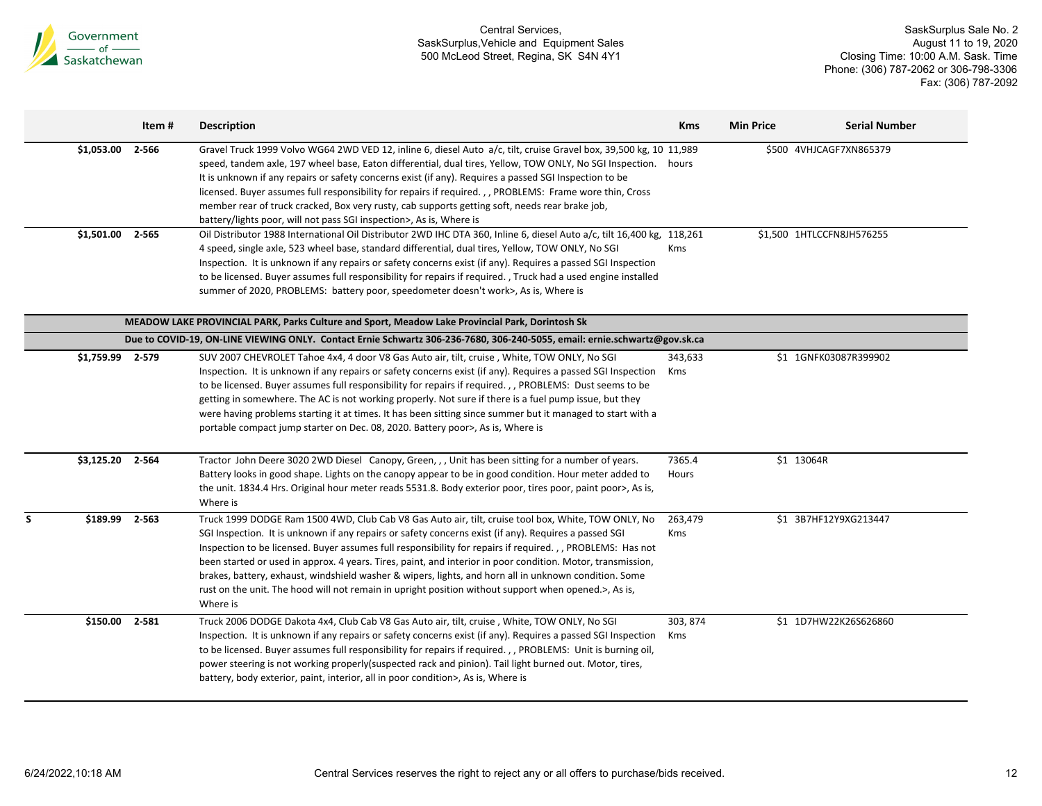

|                  | Item # | <b>Description</b>                                                                                                                                                                                                                                                                                                                                                                                                                                                                                                                                                                                                                                                     | <b>Kms</b>      | <b>Min Price</b> | <b>Serial Number</b>      |
|------------------|--------|------------------------------------------------------------------------------------------------------------------------------------------------------------------------------------------------------------------------------------------------------------------------------------------------------------------------------------------------------------------------------------------------------------------------------------------------------------------------------------------------------------------------------------------------------------------------------------------------------------------------------------------------------------------------|-----------------|------------------|---------------------------|
| \$1,053.00       | 2-566  | Gravel Truck 1999 Volvo WG64 2WD VED 12, inline 6, diesel Auto a/c, tilt, cruise Gravel box, 39,500 kg, 10 11,989<br>speed, tandem axle, 197 wheel base, Eaton differential, dual tires, Yellow, TOW ONLY, No SGI Inspection. hours<br>It is unknown if any repairs or safety concerns exist (if any). Requires a passed SGI Inspection to be<br>licensed. Buyer assumes full responsibility for repairs if required.,, PROBLEMS: Frame wore thin, Cross<br>member rear of truck cracked, Box very rusty, cab supports getting soft, needs rear brake job,<br>battery/lights poor, will not pass SGI inspection>, As is, Where is                                      |                 |                  | \$500 4VHJCAGF7XN865379   |
| \$1,501.00 2-565 |        | Oil Distributor 1988 International Oil Distributor 2WD IHC DTA 360, Inline 6, diesel Auto a/c, tilt 16,400 kg, 118,261<br>4 speed, single axle, 523 wheel base, standard differential, dual tires, Yellow, TOW ONLY, No SGI<br>Inspection. It is unknown if any repairs or safety concerns exist (if any). Requires a passed SGI Inspection<br>to be licensed. Buyer assumes full responsibility for repairs if required., Truck had a used engine installed<br>summer of 2020, PROBLEMS: battery poor, speedometer doesn't work>, As is, Where is                                                                                                                     | <b>Kms</b>      |                  | \$1,500 1HTLCCFN8JH576255 |
|                  |        | MEADOW LAKE PROVINCIAL PARK, Parks Culture and Sport, Meadow Lake Provincial Park, Dorintosh Sk                                                                                                                                                                                                                                                                                                                                                                                                                                                                                                                                                                        |                 |                  |                           |
|                  |        | Due to COVID-19, ON-LINE VIEWING ONLY. Contact Ernie Schwartz 306-236-7680, 306-240-5055, email: ernie.schwartz@gov.sk.ca                                                                                                                                                                                                                                                                                                                                                                                                                                                                                                                                              |                 |                  |                           |
| \$1,759.99 2-579 |        | SUV 2007 CHEVROLET Tahoe 4x4, 4 door V8 Gas Auto air, tilt, cruise, White, TOW ONLY, No SGI<br>Inspection. It is unknown if any repairs or safety concerns exist (if any). Requires a passed SGI Inspection<br>to be licensed. Buyer assumes full responsibility for repairs if required., , PROBLEMS: Dust seems to be<br>getting in somewhere. The AC is not working properly. Not sure if there is a fuel pump issue, but they<br>were having problems starting it at times. It has been sitting since summer but it managed to start with a<br>portable compact jump starter on Dec. 08, 2020. Battery poor>, As is, Where is                                      | 343,633<br>Kms  |                  | \$1 1GNFK03087R399902     |
| \$3,125.20       | 2-564  | Tractor John Deere 3020 2WD Diesel Canopy, Green, , , Unit has been sitting for a number of years.<br>Battery looks in good shape. Lights on the canopy appear to be in good condition. Hour meter added to<br>the unit. 1834.4 Hrs. Original hour meter reads 5531.8. Body exterior poor, tires poor, paint poor>, As is,<br>Where is                                                                                                                                                                                                                                                                                                                                 | 7365.4<br>Hours | \$1 13064R       |                           |
| \$189.99         | 2-563  | Truck 1999 DODGE Ram 1500 4WD, Club Cab V8 Gas Auto air, tilt, cruise tool box, White, TOW ONLY, No<br>SGI Inspection. It is unknown if any repairs or safety concerns exist (if any). Requires a passed SGI<br>Inspection to be licensed. Buyer assumes full responsibility for repairs if required., , PROBLEMS: Has not<br>been started or used in approx. 4 years. Tires, paint, and interior in poor condition. Motor, transmission,<br>brakes, battery, exhaust, windshield washer & wipers, lights, and horn all in unknown condition. Some<br>rust on the unit. The hood will not remain in upright position without support when opened.>, As is,<br>Where is | 263,479<br>Kms  |                  | \$1 3B7HF12Y9XG213447     |
| \$150.00 2-581   |        | Truck 2006 DODGE Dakota 4x4, Club Cab V8 Gas Auto air, tilt, cruise, White, TOW ONLY, No SGI<br>Inspection. It is unknown if any repairs or safety concerns exist (if any). Requires a passed SGI Inspection<br>to be licensed. Buyer assumes full responsibility for repairs if required., , PROBLEMS: Unit is burning oil,<br>power steering is not working properly (suspected rack and pinion). Tail light burned out. Motor, tires,<br>battery, body exterior, paint, interior, all in poor condition>, As is, Where is                                                                                                                                           | 303, 874<br>Kms |                  | \$1 1D7HW22K26S626860     |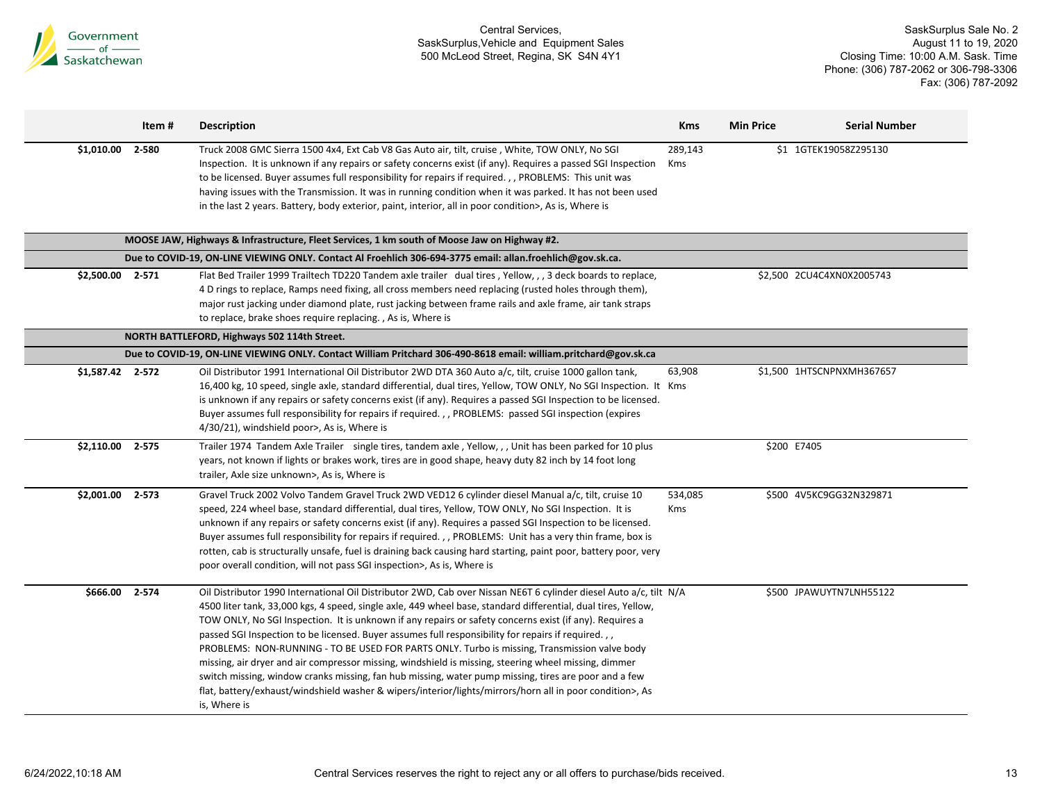

|                  | Item #    | <b>Description</b>                                                                                                                                                                                                                                                                                                                                                                                                                                                                                                                                                                                                                                                                                                                                                                                                                                                                              | <b>Kms</b>     | <b>Min Price</b> | <b>Serial Number</b>      |
|------------------|-----------|-------------------------------------------------------------------------------------------------------------------------------------------------------------------------------------------------------------------------------------------------------------------------------------------------------------------------------------------------------------------------------------------------------------------------------------------------------------------------------------------------------------------------------------------------------------------------------------------------------------------------------------------------------------------------------------------------------------------------------------------------------------------------------------------------------------------------------------------------------------------------------------------------|----------------|------------------|---------------------------|
| \$1,010.00       | 2-580     | Truck 2008 GMC Sierra 1500 4x4, Ext Cab V8 Gas Auto air, tilt, cruise, White, TOW ONLY, No SGI<br>Inspection. It is unknown if any repairs or safety concerns exist (if any). Requires a passed SGI Inspection<br>to be licensed. Buyer assumes full responsibility for repairs if required., , PROBLEMS: This unit was<br>having issues with the Transmission. It was in running condition when it was parked. It has not been used<br>in the last 2 years. Battery, body exterior, paint, interior, all in poor condition>, As is, Where is                                                                                                                                                                                                                                                                                                                                                   | 289,143<br>Kms |                  | \$1 1GTEK19058Z295130     |
|                  |           | MOOSE JAW, Highways & Infrastructure, Fleet Services, 1 km south of Moose Jaw on Highway #2.                                                                                                                                                                                                                                                                                                                                                                                                                                                                                                                                                                                                                                                                                                                                                                                                    |                |                  |                           |
|                  |           | Due to COVID-19, ON-LINE VIEWING ONLY. Contact Al Froehlich 306-694-3775 email: allan.froehlich@gov.sk.ca.                                                                                                                                                                                                                                                                                                                                                                                                                                                                                                                                                                                                                                                                                                                                                                                      |                |                  |                           |
| \$2,500.00 2-571 |           | Flat Bed Trailer 1999 Trailtech TD220 Tandem axle trailer dual tires, Yellow, , , 3 deck boards to replace,<br>4 D rings to replace, Ramps need fixing, all cross members need replacing (rusted holes through them),<br>major rust jacking under diamond plate, rust jacking between frame rails and axle frame, air tank straps<br>to replace, brake shoes require replacing., As is, Where is                                                                                                                                                                                                                                                                                                                                                                                                                                                                                                |                |                  | \$2,500 2CU4C4XN0X2005743 |
|                  |           | NORTH BATTLEFORD, Highways 502 114th Street.                                                                                                                                                                                                                                                                                                                                                                                                                                                                                                                                                                                                                                                                                                                                                                                                                                                    |                |                  |                           |
|                  |           | Due to COVID-19, ON-LINE VIEWING ONLY. Contact William Pritchard 306-490-8618 email: william.pritchard@gov.sk.ca                                                                                                                                                                                                                                                                                                                                                                                                                                                                                                                                                                                                                                                                                                                                                                                |                |                  |                           |
| \$1,587.42 2-572 |           | Oil Distributor 1991 International Oil Distributor 2WD DTA 360 Auto a/c, tilt, cruise 1000 gallon tank,<br>16,400 kg, 10 speed, single axle, standard differential, dual tires, Yellow, TOW ONLY, No SGI Inspection. It Kms<br>is unknown if any repairs or safety concerns exist (if any). Requires a passed SGI Inspection to be licensed.<br>Buyer assumes full responsibility for repairs if required. , , PROBLEMS: passed SGI inspection (expires<br>4/30/21), windshield poor>, As is, Where is                                                                                                                                                                                                                                                                                                                                                                                          | 63,908         |                  | \$1,500 1HTSCNPNXMH367657 |
| \$2,110.00       | $2 - 575$ | Trailer 1974 Tandem Axle Trailer single tires, tandem axle, Yellow, ,, Unit has been parked for 10 plus<br>years, not known if lights or brakes work, tires are in good shape, heavy duty 82 inch by 14 foot long<br>trailer, Axle size unknown>, As is, Where is                                                                                                                                                                                                                                                                                                                                                                                                                                                                                                                                                                                                                               |                | \$200 E7405      |                           |
| \$2,001.00       | 2-573     | Gravel Truck 2002 Volvo Tandem Gravel Truck 2WD VED12 6 cylinder diesel Manual a/c, tilt, cruise 10<br>speed, 224 wheel base, standard differential, dual tires, Yellow, TOW ONLY, No SGI Inspection. It is<br>unknown if any repairs or safety concerns exist (if any). Requires a passed SGI Inspection to be licensed.<br>Buyer assumes full responsibility for repairs if required., , PROBLEMS: Unit has a very thin frame, box is<br>rotten, cab is structurally unsafe, fuel is draining back causing hard starting, paint poor, battery poor, very<br>poor overall condition, will not pass SGI inspection>, As is, Where is                                                                                                                                                                                                                                                            | 534,085<br>Kms |                  | \$500 4V5KC9GG32N329871   |
| \$666.00         | 2-574     | Oil Distributor 1990 International Oil Distributor 2WD, Cab over Nissan NE6T 6 cylinder diesel Auto a/c, tilt N/A<br>4500 liter tank, 33,000 kgs, 4 speed, single axle, 449 wheel base, standard differential, dual tires, Yellow,<br>TOW ONLY, No SGI Inspection. It is unknown if any repairs or safety concerns exist (if any). Requires a<br>passed SGI Inspection to be licensed. Buyer assumes full responsibility for repairs if required.,,<br>PROBLEMS: NON-RUNNING - TO BE USED FOR PARTS ONLY. Turbo is missing, Transmission valve body<br>missing, air dryer and air compressor missing, windshield is missing, steering wheel missing, dimmer<br>switch missing, window cranks missing, fan hub missing, water pump missing, tires are poor and a few<br>flat, battery/exhaust/windshield washer & wipers/interior/lights/mirrors/horn all in poor condition>, As<br>is, Where is |                |                  | \$500 JPAWUYTN7LNH55122   |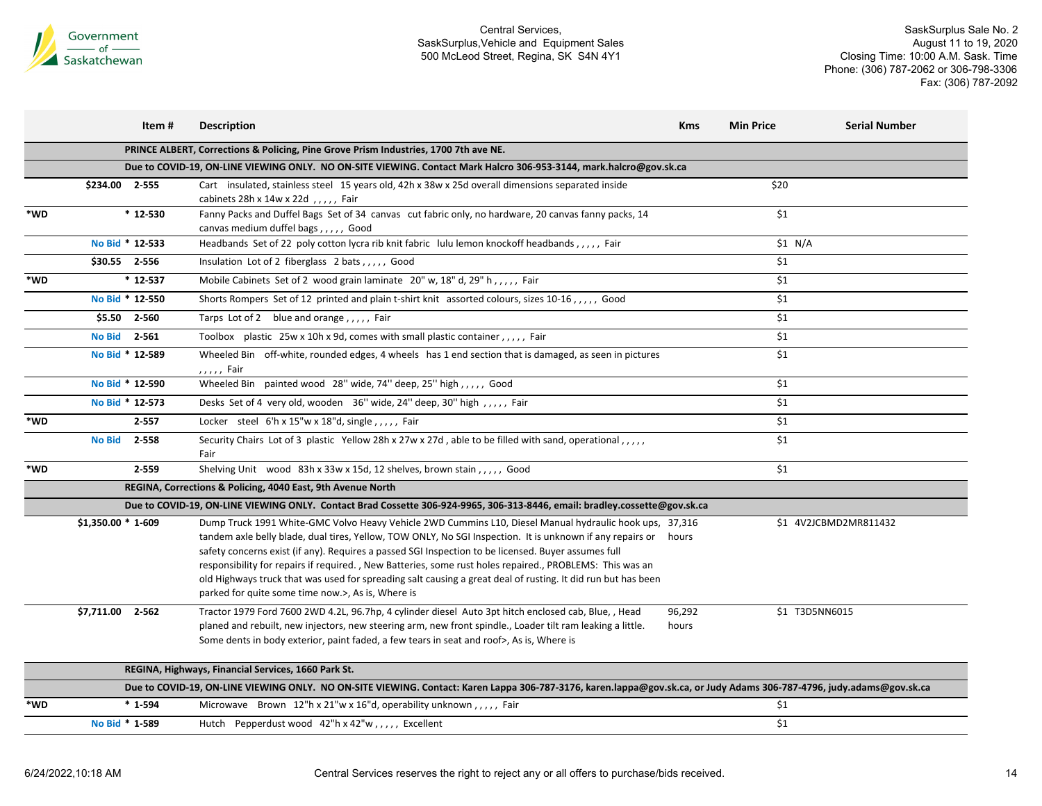

|     | Item #                 | <b>Description</b>                                                                                                                                                                                                                                                                                                                                                                                                                                                                                                                                                                                                 | <b>Kms</b>      | <b>Min Price</b> | <b>Serial Number</b>  |
|-----|------------------------|--------------------------------------------------------------------------------------------------------------------------------------------------------------------------------------------------------------------------------------------------------------------------------------------------------------------------------------------------------------------------------------------------------------------------------------------------------------------------------------------------------------------------------------------------------------------------------------------------------------------|-----------------|------------------|-----------------------|
|     |                        | PRINCE ALBERT, Corrections & Policing, Pine Grove Prism Industries, 1700 7th ave NE.                                                                                                                                                                                                                                                                                                                                                                                                                                                                                                                               |                 |                  |                       |
|     |                        | Due to COVID-19, ON-LINE VIEWING ONLY. NO ON-SITE VIEWING. Contact Mark Halcro 306-953-3144, mark.halcro@gov.sk.ca                                                                                                                                                                                                                                                                                                                                                                                                                                                                                                 |                 |                  |                       |
|     | \$234.00 2-555         | Cart insulated, stainless steel 15 years old, 42h x 38w x 25d overall dimensions separated inside<br>cabinets 28h x 14w x 22d , , , , , Fair                                                                                                                                                                                                                                                                                                                                                                                                                                                                       |                 | \$20             |                       |
| *WD | $*12-530$              | Fanny Packs and Duffel Bags Set of 34 canvas cut fabric only, no hardware, 20 canvas fanny packs, 14<br>canvas medium duffel bags,,,,,, Good                                                                                                                                                                                                                                                                                                                                                                                                                                                                       |                 | \$1              |                       |
|     | No Bid * 12-533        | Headbands Set of 22 poly cotton lycra rib knit fabric lulu lemon knockoff headbands,,,,,, Fair                                                                                                                                                                                                                                                                                                                                                                                                                                                                                                                     |                 | \$1 N/A          |                       |
|     | \$30.55 2-556          | Insulation Lot of 2 fiberglass 2 bats, , , , , Good                                                                                                                                                                                                                                                                                                                                                                                                                                                                                                                                                                |                 | \$1              |                       |
| *WD | $*12-537$              | Mobile Cabinets Set of 2 wood grain laminate 20" w, 18" d, 29" h,,,,, Fair                                                                                                                                                                                                                                                                                                                                                                                                                                                                                                                                         |                 | \$1              |                       |
|     | No Bid * 12-550        | Shorts Rompers Set of 12 printed and plain t-shirt knit assorted colours, sizes 10-16,,,,,, Good                                                                                                                                                                                                                                                                                                                                                                                                                                                                                                                   |                 | \$1              |                       |
|     | \$5.50 2-560           | Tarps Lot of 2 blue and orange,,,,, Fair                                                                                                                                                                                                                                                                                                                                                                                                                                                                                                                                                                           |                 | \$1              |                       |
|     | No Bid 2-561           | Toolbox plastic 25w x 10h x 9d, comes with small plastic container, ,,,, Fair                                                                                                                                                                                                                                                                                                                                                                                                                                                                                                                                      |                 | \$1              |                       |
|     | No Bid * 12-589        | Wheeled Bin off-white, rounded edges, 4 wheels has 1 end section that is damaged, as seen in pictures<br>,,,,, Fair                                                                                                                                                                                                                                                                                                                                                                                                                                                                                                |                 | $\overline{\$1}$ |                       |
|     | No Bid * 12-590        | Wheeled Bin painted wood 28" wide, 74" deep, 25" high,,,,, Good                                                                                                                                                                                                                                                                                                                                                                                                                                                                                                                                                    |                 | \$1              |                       |
|     | No Bid * 12-573        | Desks Set of 4 very old, wooden 36" wide, 24" deep, 30" high,,,,, Fair                                                                                                                                                                                                                                                                                                                                                                                                                                                                                                                                             |                 | $$1$$            |                       |
| *WD | $2 - 557$              | Locker steel 6'h x 15"w x 18"d, single, , , , , Fair                                                                                                                                                                                                                                                                                                                                                                                                                                                                                                                                                               |                 | \$1              |                       |
|     | 2-558<br><b>No Bid</b> | Security Chairs Lot of 3 plastic Yellow 28h x 27w x 27d, able to be filled with sand, operational,,,,,<br>Fair                                                                                                                                                                                                                                                                                                                                                                                                                                                                                                     |                 | \$1              |                       |
| *WD | 2-559                  | Shelving Unit wood 83h x 33w x 15d, 12 shelves, brown stain, , , , , Good                                                                                                                                                                                                                                                                                                                                                                                                                                                                                                                                          |                 | \$1              |                       |
|     |                        | REGINA, Corrections & Policing, 4040 East, 9th Avenue North                                                                                                                                                                                                                                                                                                                                                                                                                                                                                                                                                        |                 |                  |                       |
|     |                        | Due to COVID-19, ON-LINE VIEWING ONLY. Contact Brad Cossette 306-924-9965, 306-313-8446, email: bradley.cossette@gov.sk.ca                                                                                                                                                                                                                                                                                                                                                                                                                                                                                         |                 |                  |                       |
|     | \$1,350.00 * 1-609     | Dump Truck 1991 White-GMC Volvo Heavy Vehicle 2WD Cummins L10, Diesel Manual hydraulic hook ups, 37,316<br>tandem axle belly blade, dual tires, Yellow, TOW ONLY, No SGI Inspection. It is unknown if any repairs or hours<br>safety concerns exist (if any). Requires a passed SGI Inspection to be licensed. Buyer assumes full<br>responsibility for repairs if required., New Batteries, some rust holes repaired., PROBLEMS: This was an<br>old Highways truck that was used for spreading salt causing a great deal of rusting. It did run but has been<br>parked for quite some time now.>, As is, Where is |                 |                  | \$1 4V2JCBMD2MR811432 |
|     | \$7,711.00 2-562       | Tractor 1979 Ford 7600 2WD 4.2L, 96.7hp, 4 cylinder diesel Auto 3pt hitch enclosed cab, Blue, , Head<br>planed and rebuilt, new injectors, new steering arm, new front spindle., Loader tilt ram leaking a little.<br>Some dents in body exterior, paint faded, a few tears in seat and roof>, As is, Where is                                                                                                                                                                                                                                                                                                     | 96,292<br>hours |                  | \$1 T3D5NN6015        |
|     |                        | REGINA, Highways, Financial Services, 1660 Park St.                                                                                                                                                                                                                                                                                                                                                                                                                                                                                                                                                                |                 |                  |                       |
|     |                        | Due to COVID-19, ON-LINE VIEWING ONLY. NO ON-SITE VIEWING. Contact: Karen Lappa 306-787-3176, karen.lappa@gov.sk.ca, or Judy Adams 306-787-4796, judy.adams@gov.sk.ca                                                                                                                                                                                                                                                                                                                                                                                                                                              |                 |                  |                       |
| *WD | $*1-594$               | Microwave Brown $12''h \times 21''w \times 16''d$ , operability unknown,,,,,, Fair                                                                                                                                                                                                                                                                                                                                                                                                                                                                                                                                 |                 | \$1              |                       |
|     | No Bid * 1-589         | Hutch Pepperdust wood 42"h x 42"w,,,,, Excellent                                                                                                                                                                                                                                                                                                                                                                                                                                                                                                                                                                   |                 | \$1              |                       |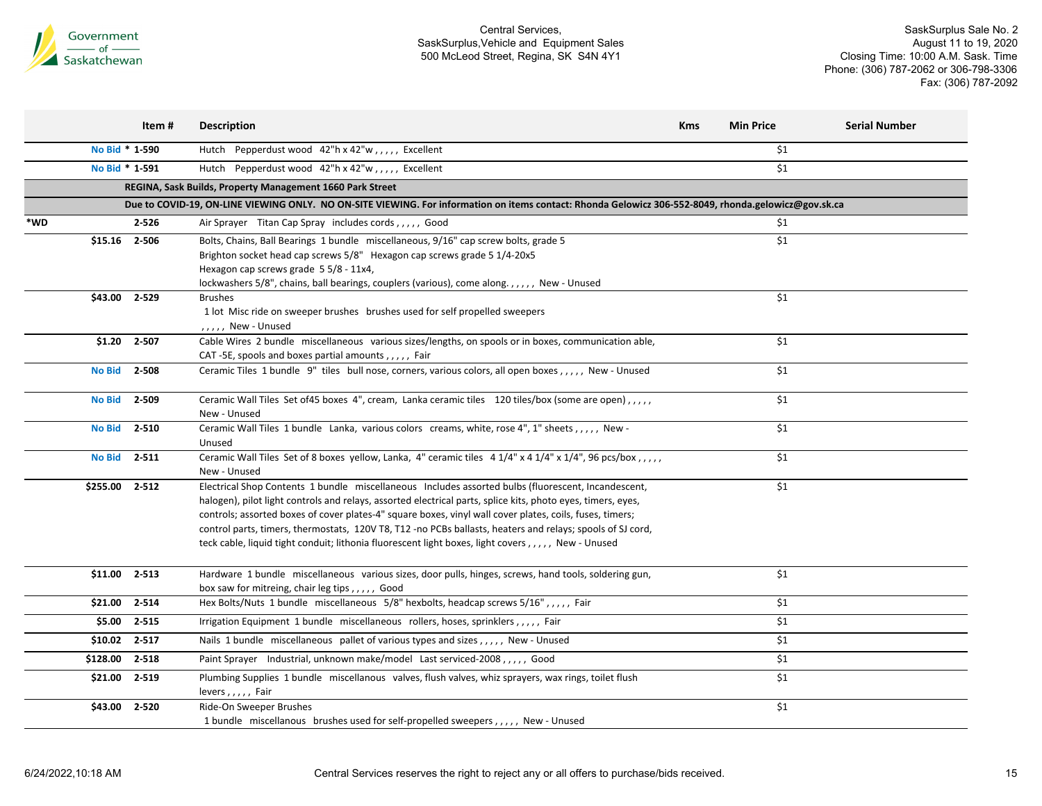

|               | Item #         | <b>Description</b>                                                                                                                                   | <b>Kms</b> | <b>Min Price</b> | <b>Serial Number</b> |
|---------------|----------------|------------------------------------------------------------------------------------------------------------------------------------------------------|------------|------------------|----------------------|
|               | No Bid * 1-590 | Hutch Pepperdust wood 42"h x 42"w,,,,, Excellent                                                                                                     |            | \$1              |                      |
|               | No Bid * 1-591 | Hutch Pepperdust wood 42"h x 42"w,,,,, Excellent                                                                                                     |            | \$1              |                      |
|               |                | REGINA, Sask Builds, Property Management 1660 Park Street                                                                                            |            |                  |                      |
|               |                | Due to COVID-19, ON-LINE VIEWING ONLY. NO ON-SITE VIEWING. For information on items contact: Rhonda Gelowicz 306-552-8049, rhonda.gelowicz@gov.sk.ca |            |                  |                      |
| *WD           | $2 - 526$      | Air Sprayer Titan Cap Spray includes cords,,,,, Good                                                                                                 |            | \$1              |                      |
| \$15.16       | 2-506          | Bolts, Chains, Ball Bearings 1 bundle miscellaneous, 9/16" cap screw bolts, grade 5                                                                  |            | \$1              |                      |
|               |                | Brighton socket head cap screws 5/8" Hexagon cap screws grade 5 1/4-20x5                                                                             |            |                  |                      |
|               |                | Hexagon cap screws grade 5 5/8 - 11x4,                                                                                                               |            |                  |                      |
|               |                | lockwashers 5/8", chains, ball bearings, couplers (various), come along.,,,,,, New - Unused                                                          |            |                  |                      |
| \$43.00       | 2-529          | <b>Brushes</b>                                                                                                                                       |            | \$1              |                      |
|               |                | 1 lot Misc ride on sweeper brushes brushes used for self propelled sweepers                                                                          |            |                  |                      |
|               |                | $, \ldots$ , New - Unused                                                                                                                            |            |                  |                      |
| \$1.20        | 2-507          | Cable Wires 2 bundle miscellaneous various sizes/lengths, on spools or in boxes, communication able,                                                 |            | \$1              |                      |
|               |                | CAT-5E, spools and boxes partial amounts,,,,, Fair                                                                                                   |            |                  |                      |
| <b>No Bid</b> | 2-508          | Ceramic Tiles 1 bundle 9" tiles bull nose, corners, various colors, all open boxes,,,,,, New - Unused                                                |            | $$1$$            |                      |
| <b>No Bid</b> | 2-509          | Ceramic Wall Tiles Set of 45 boxes 4", cream, Lanka ceramic tiles 120 tiles/box (some are open), .,,,                                                |            | \$1              |                      |
|               |                | New - Unused                                                                                                                                         |            |                  |                      |
| <b>No Bid</b> | $2 - 510$      | Ceramic Wall Tiles 1 bundle Lanka, various colors creams, white, rose 4", 1" sheets,,,,,, New -                                                      |            | \$1              |                      |
|               |                | Unused                                                                                                                                               |            |                  |                      |
| <b>No Bid</b> | $2 - 511$      | Ceramic Wall Tiles Set of 8 boxes yellow, Lanka, 4" ceramic tiles 4 1/4" x 4 1/4" x 1/4", 96 pcs/box,,,,,                                            |            | \$1              |                      |
|               |                | New - Unused                                                                                                                                         |            |                  |                      |
| \$255.00      | 2-512          | Electrical Shop Contents 1 bundle miscellaneous Includes assorted bulbs (fluorescent, Incandescent,                                                  |            | \$1              |                      |
|               |                | halogen), pilot light controls and relays, assorted electrical parts, splice kits, photo eyes, timers, eyes,                                         |            |                  |                      |
|               |                | controls; assorted boxes of cover plates-4" square boxes, vinyl wall cover plates, coils, fuses, timers;                                             |            |                  |                      |
|               |                | control parts, timers, thermostats, 120V T8, T12 -no PCBs ballasts, heaters and relays; spools of SJ cord,                                           |            |                  |                      |
|               |                | teck cable, liquid tight conduit; lithonia fluorescent light boxes, light covers,,,,,, New - Unused                                                  |            |                  |                      |
|               | \$11.00 2-513  | Hardware 1 bundle miscellaneous various sizes, door pulls, hinges, screws, hand tools, soldering gun,                                                |            | \$1              |                      |
|               |                | box saw for mitreing, chair leg tips,,,,, Good                                                                                                       |            |                  |                      |
| \$21.00       | 2-514          | Hex Bolts/Nuts 1 bundle miscellaneous 5/8" hexbolts, headcap screws 5/16",,,,, Fair                                                                  |            | $$1$$            |                      |
| \$5.00        | 2-515          | Irrigation Equipment 1 bundle miscellaneous rollers, hoses, sprinklers,,,,,, Fair                                                                    |            | \$1              |                      |
| \$10.02       | 2-517          | Nails 1 bundle miscellaneous pallet of various types and sizes,,,,, New - Unused                                                                     |            | \$1              |                      |
| \$128.00      | 2-518          | Paint Sprayer Industrial, unknown make/model Last serviced-2008,,,,,, Good                                                                           |            | \$1              |                      |
| \$21.00       | 2-519          | Plumbing Supplies 1 bundle miscellanous valves, flush valves, whiz sprayers, wax rings, toilet flush                                                 |            | \$1              |                      |
|               |                | levers,,,,, Fair                                                                                                                                     |            |                  |                      |
| \$43.00       | 2-520          | Ride-On Sweeper Brushes                                                                                                                              |            | \$1              |                      |
|               |                | 1 bundle miscellanous brushes used for self-propelled sweepers,,,,,, New - Unused                                                                    |            |                  |                      |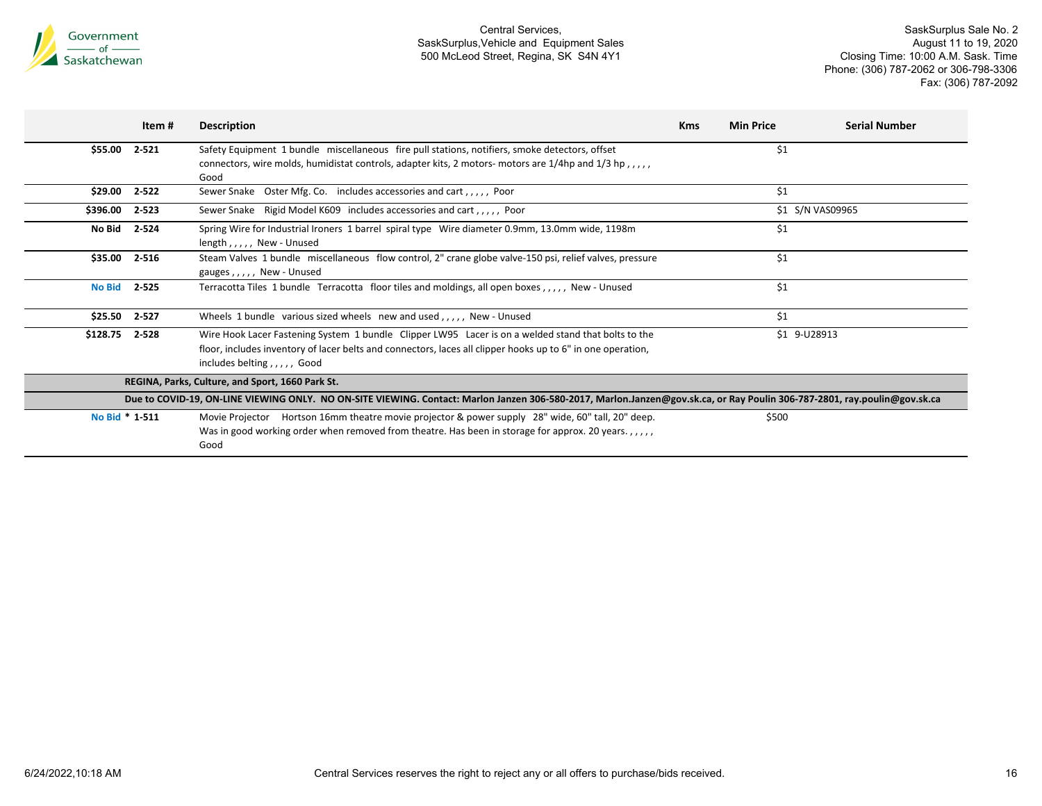

|                                                                                                                                                                           | Item #    | <b>Description</b>                                                                                                                                                                                                                               | <b>Kms</b> | <b>Min Price</b> | <b>Serial Number</b> |  |
|---------------------------------------------------------------------------------------------------------------------------------------------------------------------------|-----------|--------------------------------------------------------------------------------------------------------------------------------------------------------------------------------------------------------------------------------------------------|------------|------------------|----------------------|--|
| \$55.00                                                                                                                                                                   | 2-521     | Safety Equipment 1 bundle miscellaneous fire pull stations, notifiers, smoke detectors, offset                                                                                                                                                   |            | \$1              |                      |  |
|                                                                                                                                                                           |           | connectors, wire molds, humidistat controls, adapter kits, 2 motors- motors are $1/4$ hp and $1/3$ hp,,,,,<br>Good                                                                                                                               |            |                  |                      |  |
| \$29.00                                                                                                                                                                   | $2 - 522$ | Sewer Snake Oster Mfg. Co. includes accessories and cart,,,,, Poor                                                                                                                                                                               |            | \$1              |                      |  |
| \$396.00                                                                                                                                                                  | 2-523     | Sewer Snake Rigid Model K609 includes accessories and cart,,,,, Poor                                                                                                                                                                             |            |                  | \$1 S/N VAS09965     |  |
| No Bid                                                                                                                                                                    | 2-524     | Spring Wire for Industrial Ironers 1 barrel spiral type Wire diameter 0.9mm, 13.0mm wide, 1198m<br>length, $, \ldots$ , New - Unused                                                                                                             |            | \$1              |                      |  |
| \$35.00                                                                                                                                                                   | 2-516     | Steam Valves 1 bundle miscellaneous flow control, 2" crane globe valve-150 psi, relief valves, pressure<br>gauges,,,,, New - Unused                                                                                                              |            | \$1              |                      |  |
| <b>No Bid</b>                                                                                                                                                             | 2-525     | Terracotta Tiles 1 bundle Terracotta floor tiles and moldings, all open boxes,,,,, New - Unused                                                                                                                                                  |            | \$1              |                      |  |
| \$25.50                                                                                                                                                                   | 2-527     | Wheels 1 bundle various sized wheels new and used,,,,, New - Unused                                                                                                                                                                              |            | \$1              |                      |  |
| \$128.75                                                                                                                                                                  | 2-528     | Wire Hook Lacer Fastening System 1 bundle Clipper LW95 Lacer is on a welded stand that bolts to the<br>floor, includes inventory of lacer belts and connectors, laces all clipper hooks up to 6" in one operation,<br>includes belting,,,,, Good |            |                  | \$1 9-U28913         |  |
|                                                                                                                                                                           |           | REGINA, Parks, Culture, and Sport, 1660 Park St.                                                                                                                                                                                                 |            |                  |                      |  |
| Due to COVID-19, ON-LINE VIEWING ONLY. NO ON-SITE VIEWING. Contact: Marlon Janzen 306-580-2017, Marlon.Janzen@gov.sk.ca, or Ray Poulin 306-787-2801, ray.poulin@gov.sk.ca |           |                                                                                                                                                                                                                                                  |            |                  |                      |  |
| No Bid * 1-511                                                                                                                                                            |           | Movie Projector Hortson 16mm theatre movie projector & power supply 28" wide, 60" tall, 20" deep.<br>Was in good working order when removed from theatre. Has been in storage for approx. 20 years.,,,,,<br>Good                                 |            | \$500            |                      |  |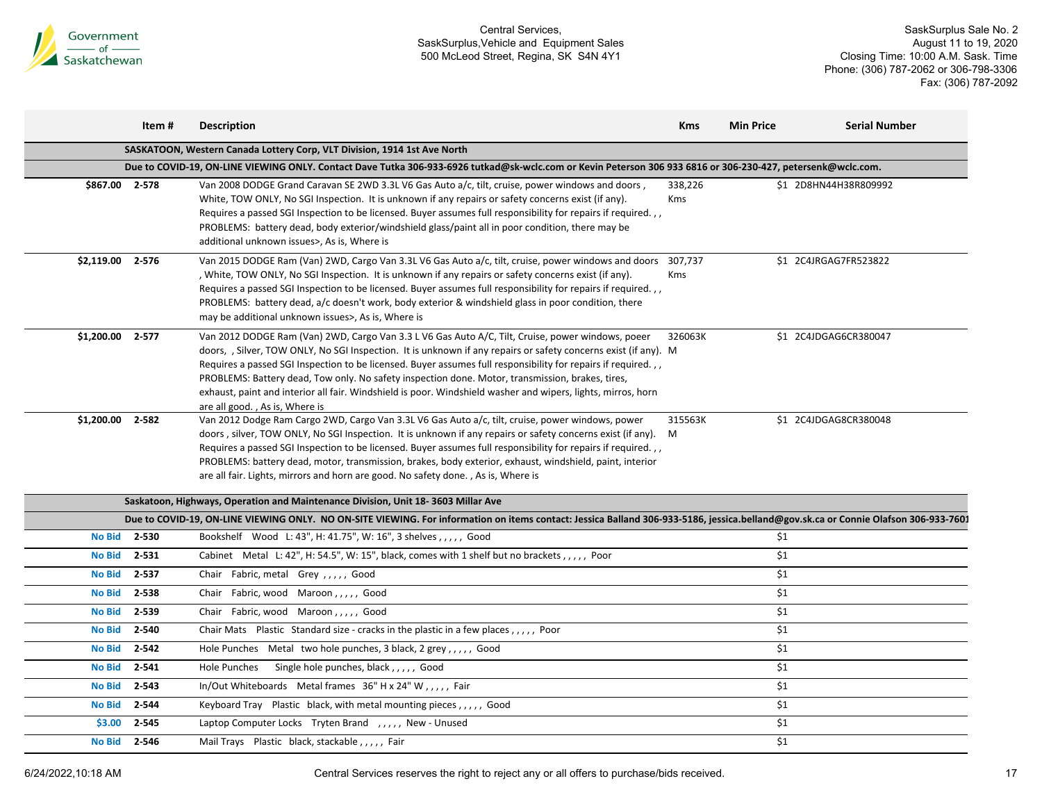

|                | Item #    | <b>Description</b>                                                                                                                                                                                                                                                                                                                                                                                                                                                                                                                                                                          | <b>Kms</b>     | <b>Min Price</b> | <b>Serial Number</b>  |
|----------------|-----------|---------------------------------------------------------------------------------------------------------------------------------------------------------------------------------------------------------------------------------------------------------------------------------------------------------------------------------------------------------------------------------------------------------------------------------------------------------------------------------------------------------------------------------------------------------------------------------------------|----------------|------------------|-----------------------|
|                |           | SASKATOON, Western Canada Lottery Corp, VLT Division, 1914 1st Ave North                                                                                                                                                                                                                                                                                                                                                                                                                                                                                                                    |                |                  |                       |
|                |           | Due to COVID-19, ON-LINE VIEWING ONLY. Contact Dave Tutka 306-933-6926 tutkad@sk-wclc.com or Kevin Peterson 306 933 6816 or 306-230-427, petersenk@wclc.com.                                                                                                                                                                                                                                                                                                                                                                                                                                |                |                  |                       |
| \$867.00 2-578 |           | Van 2008 DODGE Grand Caravan SE 2WD 3.3L V6 Gas Auto a/c, tilt, cruise, power windows and doors,<br>White, TOW ONLY, No SGI Inspection. It is unknown if any repairs or safety concerns exist (if any).<br>Requires a passed SGI Inspection to be licensed. Buyer assumes full responsibility for repairs if required.,,<br>PROBLEMS: battery dead, body exterior/windshield glass/paint all in poor condition, there may be<br>additional unknown issues>, As is, Where is                                                                                                                 | 338,226<br>Kms |                  | \$1 2D8HN44H38R809992 |
| \$2,119.00     | 2-576     | Van 2015 DODGE Ram (Van) 2WD, Cargo Van 3.3L V6 Gas Auto a/c, tilt, cruise, power windows and doors<br>, White, TOW ONLY, No SGI Inspection. It is unknown if any repairs or safety concerns exist (if any).<br>Requires a passed SGI Inspection to be licensed. Buyer assumes full responsibility for repairs if required.,,<br>PROBLEMS: battery dead, a/c doesn't work, body exterior & windshield glass in poor condition, there<br>may be additional unknown issues>, As is, Where is                                                                                                  | 307,737<br>Kms |                  | \$1 2C4JRGAG7FR523822 |
| \$1,200.00     | 2-577     | Van 2012 DODGE Ram (Van) 2WD, Cargo Van 3.3 L V6 Gas Auto A/C, Tilt, Cruise, power windows, poeer<br>doors, , Silver, TOW ONLY, No SGI Inspection. It is unknown if any repairs or safety concerns exist (if any). M<br>Requires a passed SGI Inspection to be licensed. Buyer assumes full responsibility for repairs if required.,,<br>PROBLEMS: Battery dead, Tow only. No safety inspection done. Motor, transmission, brakes, tires,<br>exhaust, paint and interior all fair. Windshield is poor. Windshield washer and wipers, lights, mirros, horn<br>are all good., As is, Where is | 326063K        |                  | \$1 2C4JDGAG6CR380047 |
| \$1,200.00     | 2-582     | Van 2012 Dodge Ram Cargo 2WD, Cargo Van 3.3L V6 Gas Auto a/c, tilt, cruise, power windows, power<br>doors, silver, TOW ONLY, No SGI Inspection. It is unknown if any repairs or safety concerns exist (if any). M<br>Requires a passed SGI Inspection to be licensed. Buyer assumes full responsibility for repairs if required.,,<br>PROBLEMS: battery dead, motor, transmission, brakes, body exterior, exhaust, windshield, paint, interior<br>are all fair. Lights, mirrors and horn are good. No safety done., As is, Where is                                                         | 315563K        |                  | \$1 2C4JDGAG8CR380048 |
|                |           | Saskatoon, Highways, Operation and Maintenance Division, Unit 18-3603 Millar Ave                                                                                                                                                                                                                                                                                                                                                                                                                                                                                                            |                |                  |                       |
|                |           | Due to COVID-19, ON-LINE VIEWING ONLY. NO ON-SITE VIEWING. For information on items contact: Jessica Balland 306-933-5186, jessica.belland@gov.sk.ca or Connie Olafson 306-933-7601                                                                                                                                                                                                                                                                                                                                                                                                         |                |                  |                       |
| <b>No Bid</b>  | 2-530     | Bookshelf Wood L: 43", H: 41.75", W: 16", 3 shelves,,,,, Good                                                                                                                                                                                                                                                                                                                                                                                                                                                                                                                               |                | \$1              |                       |
| <b>No Bid</b>  | 2-531     | Cabinet Metal L: 42", H: 54.5", W: 15", black, comes with 1 shelf but no brackets,,,,, Poor                                                                                                                                                                                                                                                                                                                                                                                                                                                                                                 |                | \$1              |                       |
| <b>No Bid</b>  | 2-537     | Chair Fabric, metal Grey,,,,,, Good                                                                                                                                                                                                                                                                                                                                                                                                                                                                                                                                                         |                | \$1              |                       |
| <b>No Bid</b>  | 2-538     | Chair Fabric, wood Maroon,,,,, Good                                                                                                                                                                                                                                                                                                                                                                                                                                                                                                                                                         |                | \$1              |                       |
| <b>No Bid</b>  | 2-539     | Chair Fabric, wood Maroon, , , , , Good                                                                                                                                                                                                                                                                                                                                                                                                                                                                                                                                                     |                | \$1              |                       |
| <b>No Bid</b>  | 2-540     | Chair Mats Plastic Standard size - cracks in the plastic in a few places,,,,, Poor                                                                                                                                                                                                                                                                                                                                                                                                                                                                                                          |                | \$1              |                       |
| <b>No Bid</b>  | 2-542     | Hole Punches Metal two hole punches, 3 black, 2 grey,,,,, Good                                                                                                                                                                                                                                                                                                                                                                                                                                                                                                                              |                | \$1              |                       |
| <b>No Bid</b>  | 2-541     | Hole Punches<br>Single hole punches, black,,,,,, Good                                                                                                                                                                                                                                                                                                                                                                                                                                                                                                                                       |                | $\overline{\$1}$ |                       |
| <b>No Bid</b>  | 2-543     | In/Out Whiteboards Metal frames 36" H x 24" W,,,,, Fair                                                                                                                                                                                                                                                                                                                                                                                                                                                                                                                                     |                | \$1              |                       |
| <b>No Bid</b>  | 2-544     | Keyboard Tray Plastic black, with metal mounting pieces,,,,,, Good                                                                                                                                                                                                                                                                                                                                                                                                                                                                                                                          |                | \$1              |                       |
| \$3.00         | 2-545     | Laptop Computer Locks Tryten Brand , , , , , New - Unused                                                                                                                                                                                                                                                                                                                                                                                                                                                                                                                                   |                | \$1              |                       |
| <b>No Bid</b>  | $2 - 546$ | Mail Trays Plastic black, stackable, , , , , Fair                                                                                                                                                                                                                                                                                                                                                                                                                                                                                                                                           |                | $\overline{\$1}$ |                       |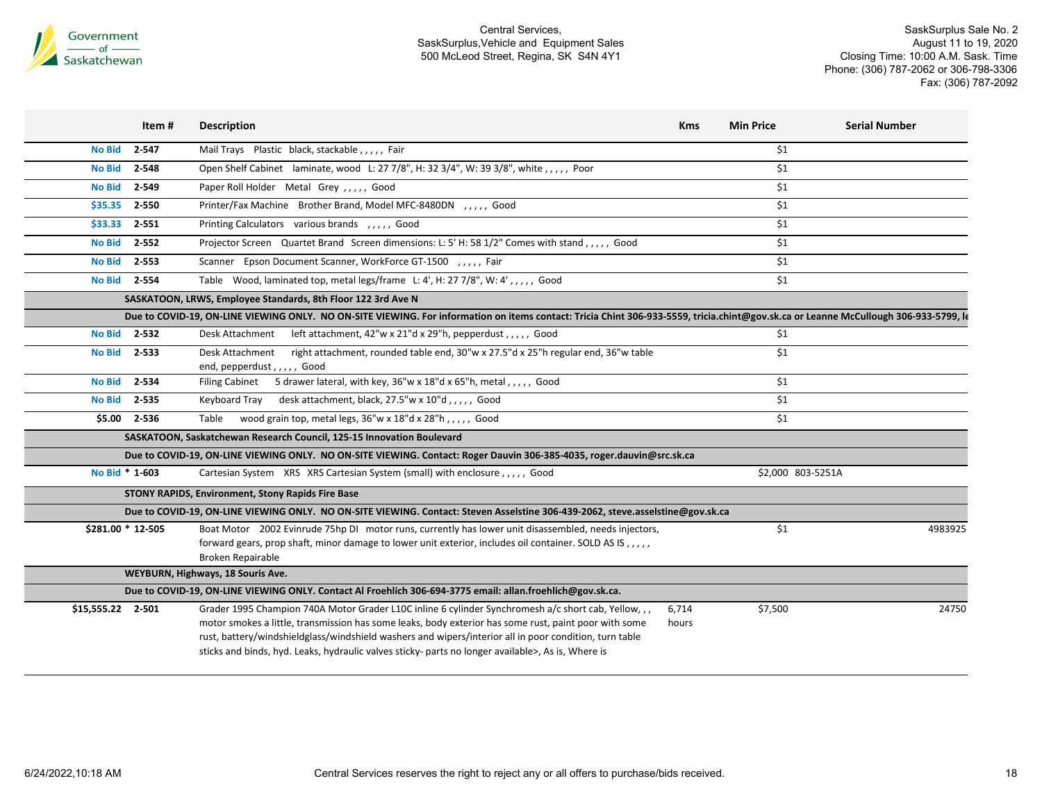

|                   | Item #    | <b>Description</b>                                                                                                                                                                                                                                                                                                                                                                                                            | <b>Kms</b>     | <b>Min Price</b>  | <b>Serial Number</b> |
|-------------------|-----------|-------------------------------------------------------------------------------------------------------------------------------------------------------------------------------------------------------------------------------------------------------------------------------------------------------------------------------------------------------------------------------------------------------------------------------|----------------|-------------------|----------------------|
| <b>No Bid</b>     | 2-547     | Mail Trays Plastic black, stackable, , , , , Fair                                                                                                                                                                                                                                                                                                                                                                             |                | \$1               |                      |
| <b>No Bid</b>     | 2-548     | Open Shelf Cabinet laminate, wood L: 27 7/8", H: 32 3/4", W: 39 3/8", white, ,,,,, Poor                                                                                                                                                                                                                                                                                                                                       |                | \$1               |                      |
| <b>No Bid</b>     | 2-549     | Paper Roll Holder Metal Grey,,,,, Good                                                                                                                                                                                                                                                                                                                                                                                        |                | \$1               |                      |
| \$35.35           | $2 - 550$ | Printer/Fax Machine Brother Brand, Model MFC-8480DN , , , , , Good                                                                                                                                                                                                                                                                                                                                                            |                | \$1               |                      |
| \$33.33           | $2 - 551$ | Printing Calculators various brands , , , , , Good                                                                                                                                                                                                                                                                                                                                                                            |                | \$1               |                      |
| <b>No Bid</b>     | $2 - 552$ | Projector Screen Quartet Brand Screen dimensions: L: 5' H: 58 1/2" Comes with stand,,,,, Good                                                                                                                                                                                                                                                                                                                                 |                | \$1               |                      |
| <b>No Bid</b>     | $2 - 553$ | Scanner Epson Document Scanner, WorkForce GT-1500 , , , , , Fair                                                                                                                                                                                                                                                                                                                                                              |                | \$1               |                      |
| No Bid 2-554      |           | Table Wood, laminated top, metal legs/frame L: 4', H: 27 7/8", W: 4',,,,, Good                                                                                                                                                                                                                                                                                                                                                |                | \$1               |                      |
|                   |           | SASKATOON, LRWS, Employee Standards, 8th Floor 122 3rd Ave N                                                                                                                                                                                                                                                                                                                                                                  |                |                   |                      |
|                   |           | Due to COVID-19, ON-LINE VIEWING ONLY. NO ON-SITE VIEWING. For information on items contact: Tricia Chint 306-933-5559, tricia.chint@gov.sk.ca or Leanne McCullough 306-933-5799, le                                                                                                                                                                                                                                          |                |                   |                      |
| No Bid            | 2-532     | left attachment, $42''w \times 21''d \times 29''h$ , pepperdust, , , , , Good<br>Desk Attachment                                                                                                                                                                                                                                                                                                                              |                | \$1               |                      |
| <b>No Bid</b>     | $2 - 533$ | right attachment, rounded table end, 30"w x 27.5"d x 25"h regular end, 36"w table<br>Desk Attachment<br>end, pepperdust,,,,, Good                                                                                                                                                                                                                                                                                             |                | \$1               |                      |
| <b>No Bid</b>     | 2-534     | Filing Cabinet 5 drawer lateral, with key, 36"w x 18"d x 65"h, metal,,,,, Good                                                                                                                                                                                                                                                                                                                                                |                | \$1               |                      |
| <b>No Bid</b>     | 2-535     | desk attachment, black, 27.5"w x 10"d,,,,, Good<br>Keyboard Tray                                                                                                                                                                                                                                                                                                                                                              |                | \$1               |                      |
| \$5.00 2-536      |           | wood grain top, metal legs, 36"w x 18"d x 28"h,,,,, Good<br>Table                                                                                                                                                                                                                                                                                                                                                             |                | \$1               |                      |
|                   |           | SASKATOON, Saskatchewan Research Council, 125-15 Innovation Boulevard                                                                                                                                                                                                                                                                                                                                                         |                |                   |                      |
|                   |           | Due to COVID-19, ON-LINE VIEWING ONLY. NO ON-SITE VIEWING. Contact: Roger Dauvin 306-385-4035, roger.dauvin@src.sk.ca                                                                                                                                                                                                                                                                                                         |                |                   |                      |
| No Bid * 1-603    |           | Cartesian System XRS XRS Cartesian System (small) with enclosure,,,,,, Good                                                                                                                                                                                                                                                                                                                                                   |                | \$2,000 803-5251A |                      |
|                   |           | <b>STONY RAPIDS, Environment, Stony Rapids Fire Base</b>                                                                                                                                                                                                                                                                                                                                                                      |                |                   |                      |
|                   |           | Due to COVID-19, ON-LINE VIEWING ONLY. NO ON-SITE VIEWING. Contact: Steven Asselstine 306-439-2062, steve.asselstine@gov.sk.ca                                                                                                                                                                                                                                                                                                |                |                   |                      |
| \$281.00 * 12-505 |           | Boat Motor 2002 Evinrude 75hp DI motor runs, currently has lower unit disassembled, needs injectors,<br>forward gears, prop shaft, minor damage to lower unit exterior, includes oil container. SOLD AS IS, , , , ,<br>Broken Repairable                                                                                                                                                                                      |                | \$1               | 4983925              |
|                   |           | WEYBURN, Highways, 18 Souris Ave.                                                                                                                                                                                                                                                                                                                                                                                             |                |                   |                      |
|                   |           | Due to COVID-19, ON-LINE VIEWING ONLY. Contact AI Froehlich 306-694-3775 email: allan.froehlich@gov.sk.ca.                                                                                                                                                                                                                                                                                                                    |                |                   |                      |
| \$15,555.22 2-501 |           | Grader 1995 Champion 740A Motor Grader L10C inline 6 cylinder Synchromesh a/c short cab, Yellow, , ,<br>motor smokes a little, transmission has some leaks, body exterior has some rust, paint poor with some<br>rust, battery/windshieldglass/windshield washers and wipers/interior all in poor condition, turn table<br>sticks and binds, hyd. Leaks, hydraulic valves sticky- parts no longer available>, As is, Where is | 6,714<br>hours | \$7,500           | 24750                |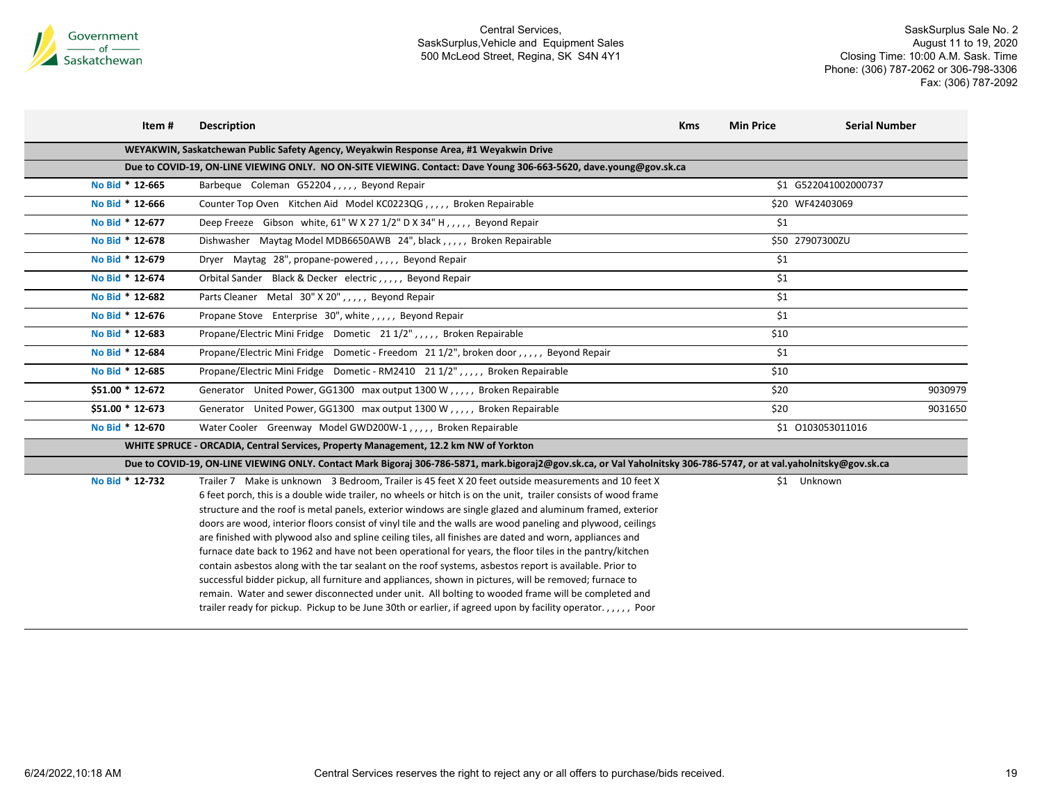

| Item #           | <b>Description</b>                                                                                                                                                                                                                                                                                                                                                                                                                                                                                                                                                                                                                                                                                                                                                                                                                                                                                                                                                                                                                                                                                                  | <b>Kms</b> | <b>Min Price</b> | <b>Serial Number</b> |
|------------------|---------------------------------------------------------------------------------------------------------------------------------------------------------------------------------------------------------------------------------------------------------------------------------------------------------------------------------------------------------------------------------------------------------------------------------------------------------------------------------------------------------------------------------------------------------------------------------------------------------------------------------------------------------------------------------------------------------------------------------------------------------------------------------------------------------------------------------------------------------------------------------------------------------------------------------------------------------------------------------------------------------------------------------------------------------------------------------------------------------------------|------------|------------------|----------------------|
|                  | WEYAKWIN, Saskatchewan Public Safety Agency, Weyakwin Response Area, #1 Weyakwin Drive                                                                                                                                                                                                                                                                                                                                                                                                                                                                                                                                                                                                                                                                                                                                                                                                                                                                                                                                                                                                                              |            |                  |                      |
|                  | Due to COVID-19, ON-LINE VIEWING ONLY. NO ON-SITE VIEWING. Contact: Dave Young 306-663-5620, dave.young@gov.sk.ca                                                                                                                                                                                                                                                                                                                                                                                                                                                                                                                                                                                                                                                                                                                                                                                                                                                                                                                                                                                                   |            |                  |                      |
| No Bid * 12-665  | Barbeque Coleman G52204,,,,, Beyond Repair                                                                                                                                                                                                                                                                                                                                                                                                                                                                                                                                                                                                                                                                                                                                                                                                                                                                                                                                                                                                                                                                          |            |                  | \$1 G522041002000737 |
| No Bid * 12-666  | Counter Top Oven Kitchen Aid Model KC0223QG,,,,, Broken Repairable                                                                                                                                                                                                                                                                                                                                                                                                                                                                                                                                                                                                                                                                                                                                                                                                                                                                                                                                                                                                                                                  |            |                  | \$20 WF42403069      |
| No Bid * 12-677  | Deep Freeze Gibson white, 61" W X 27 1/2" D X 34" H, , , , , Beyond Repair                                                                                                                                                                                                                                                                                                                                                                                                                                                                                                                                                                                                                                                                                                                                                                                                                                                                                                                                                                                                                                          |            | \$1              |                      |
| No Bid * 12-678  | Dishwasher Maytag Model MDB6650AWB 24", black,,,,,, Broken Repairable                                                                                                                                                                                                                                                                                                                                                                                                                                                                                                                                                                                                                                                                                                                                                                                                                                                                                                                                                                                                                                               |            |                  | \$50 27907300ZU      |
| No Bid * 12-679  | Dryer Maytag 28", propane-powered,,,,, Beyond Repair                                                                                                                                                                                                                                                                                                                                                                                                                                                                                                                                                                                                                                                                                                                                                                                                                                                                                                                                                                                                                                                                |            | \$1              |                      |
| No Bid * 12-674  | Orbital Sander Black & Decker electric,,,,, Beyond Repair                                                                                                                                                                                                                                                                                                                                                                                                                                                                                                                                                                                                                                                                                                                                                                                                                                                                                                                                                                                                                                                           |            | \$1              |                      |
| No Bid * 12-682  | Parts Cleaner Metal 30" X 20",,,,, Beyond Repair                                                                                                                                                                                                                                                                                                                                                                                                                                                                                                                                                                                                                                                                                                                                                                                                                                                                                                                                                                                                                                                                    |            | \$1              |                      |
| No Bid * 12-676  | Propane Stove Enterprise 30", white,,,,, Beyond Repair                                                                                                                                                                                                                                                                                                                                                                                                                                                                                                                                                                                                                                                                                                                                                                                                                                                                                                                                                                                                                                                              |            | \$1              |                      |
| No Bid * 12-683  | Propane/Electric Mini Fridge Dometic 21 1/2", , , , , Broken Repairable                                                                                                                                                                                                                                                                                                                                                                                                                                                                                                                                                                                                                                                                                                                                                                                                                                                                                                                                                                                                                                             |            | \$10             |                      |
| No Bid * 12-684  | Propane/Electric Mini Fridge Dometic - Freedom 21 1/2", broken door,,,,, Beyond Repair                                                                                                                                                                                                                                                                                                                                                                                                                                                                                                                                                                                                                                                                                                                                                                                                                                                                                                                                                                                                                              |            | \$1              |                      |
| No Bid * 12-685  | Propane/Electric Mini Fridge Dometic - RM2410 21 1/2",,,,, Broken Repairable                                                                                                                                                                                                                                                                                                                                                                                                                                                                                                                                                                                                                                                                                                                                                                                                                                                                                                                                                                                                                                        |            | \$10             |                      |
| \$51.00 * 12-672 | Generator United Power, GG1300 max output 1300 W,,,,, Broken Repairable                                                                                                                                                                                                                                                                                                                                                                                                                                                                                                                                                                                                                                                                                                                                                                                                                                                                                                                                                                                                                                             |            | \$20             | 9030979              |
| \$51.00 * 12-673 | Generator United Power, GG1300 max output 1300 W,,,,, Broken Repairable                                                                                                                                                                                                                                                                                                                                                                                                                                                                                                                                                                                                                                                                                                                                                                                                                                                                                                                                                                                                                                             |            | \$20             | 9031650              |
| No Bid * 12-670  | Water Cooler Greenway Model GWD200W-1,,,,, Broken Repairable                                                                                                                                                                                                                                                                                                                                                                                                                                                                                                                                                                                                                                                                                                                                                                                                                                                                                                                                                                                                                                                        |            |                  | \$1 0103053011016    |
|                  | WHITE SPRUCE - ORCADIA, Central Services, Property Management, 12.2 km NW of Yorkton                                                                                                                                                                                                                                                                                                                                                                                                                                                                                                                                                                                                                                                                                                                                                                                                                                                                                                                                                                                                                                |            |                  |                      |
|                  | Due to COVID-19, ON-LINE VIEWING ONLY. Contact Mark Bigoraj 306-786-5871, mark.bigoraj2@gov.sk.ca, or Val Yaholnitsky 306-786-5747, or at val.yaholnitsky@gov.sk.ca                                                                                                                                                                                                                                                                                                                                                                                                                                                                                                                                                                                                                                                                                                                                                                                                                                                                                                                                                 |            |                  |                      |
| No Bid * 12-732  | Trailer 7 Make is unknown 3 Bedroom, Trailer is 45 feet X 20 feet outside measurements and 10 feet X<br>6 feet porch, this is a double wide trailer, no wheels or hitch is on the unit, trailer consists of wood frame<br>structure and the roof is metal panels, exterior windows are single glazed and aluminum framed, exterior<br>doors are wood, interior floors consist of vinyl tile and the walls are wood paneling and plywood, ceilings<br>are finished with plywood also and spline ceiling tiles, all finishes are dated and worn, appliances and<br>furnace date back to 1962 and have not been operational for years, the floor tiles in the pantry/kitchen<br>contain asbestos along with the tar sealant on the roof systems, asbestos report is available. Prior to<br>successful bidder pickup, all furniture and appliances, shown in pictures, will be removed; furnace to<br>remain. Water and sewer disconnected under unit. All bolting to wooded frame will be completed and<br>trailer ready for pickup. Pickup to be June 30th or earlier, if agreed upon by facility operator.,,,,, Poor |            |                  | \$1 Unknown          |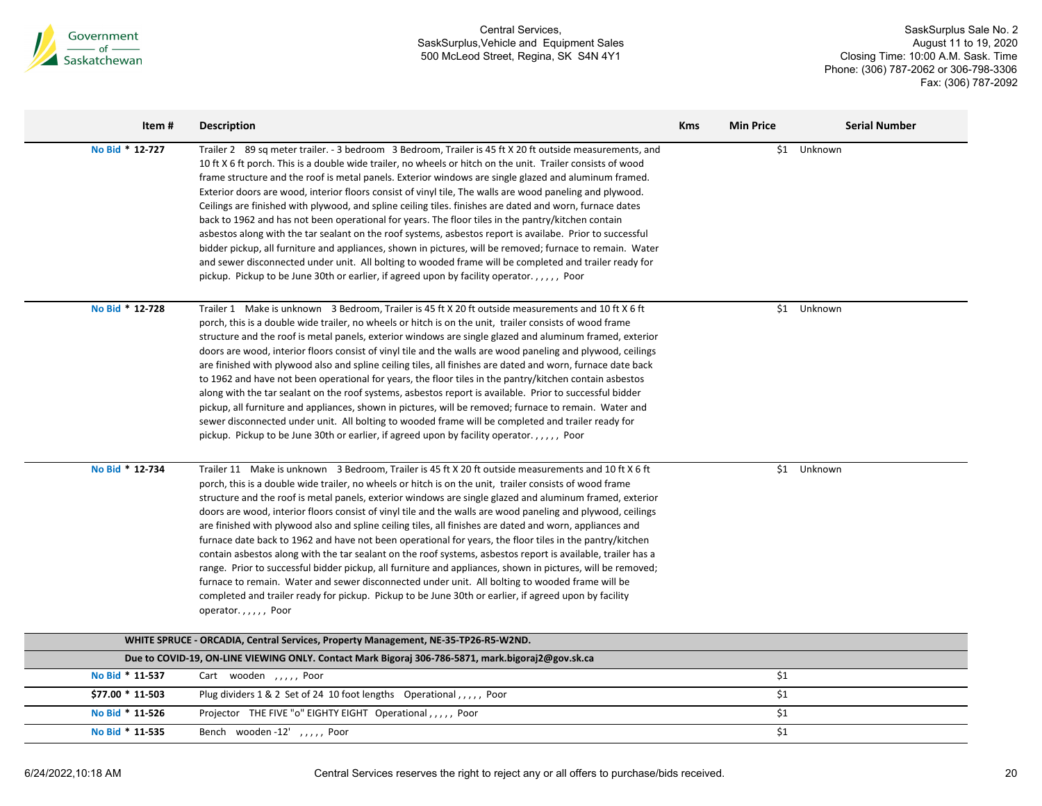

SaskSurplus Sale No. 2 August 11 to 19, 2020 Closing Time: 10:00 A.M. Sask. Time Phone: (306) 787-2062 or 306-798-3306 Fax: (306) 787-2092

| Item#            | <b>Description</b>                                                                                                                                                                                                                                                                                                                                                                                                                                                                                                                                                                                                                                                                                                                                                                                                                                                                                                                                                                                                                                                                                                                   | <b>Kms</b> | <b>Min Price</b> | <b>Serial Number</b> |
|------------------|--------------------------------------------------------------------------------------------------------------------------------------------------------------------------------------------------------------------------------------------------------------------------------------------------------------------------------------------------------------------------------------------------------------------------------------------------------------------------------------------------------------------------------------------------------------------------------------------------------------------------------------------------------------------------------------------------------------------------------------------------------------------------------------------------------------------------------------------------------------------------------------------------------------------------------------------------------------------------------------------------------------------------------------------------------------------------------------------------------------------------------------|------------|------------------|----------------------|
| No Bid * 12-727  | Trailer 2 89 sq meter trailer. - 3 bedroom 3 Bedroom, Trailer is 45 ft X 20 ft outside measurements, and<br>10 ft X 6 ft porch. This is a double wide trailer, no wheels or hitch on the unit. Trailer consists of wood<br>frame structure and the roof is metal panels. Exterior windows are single glazed and aluminum framed.<br>Exterior doors are wood, interior floors consist of vinyl tile, The walls are wood paneling and plywood.<br>Ceilings are finished with plywood, and spline ceiling tiles. finishes are dated and worn, furnace dates<br>back to 1962 and has not been operational for years. The floor tiles in the pantry/kitchen contain<br>asbestos along with the tar sealant on the roof systems, asbestos report is availabe. Prior to successful<br>bidder pickup, all furniture and appliances, shown in pictures, will be removed; furnace to remain. Water<br>and sewer disconnected under unit. All bolting to wooded frame will be completed and trailer ready for<br>pickup. Pickup to be June 30th or earlier, if agreed upon by facility operator.,,,,, Poor                                      |            | \$1              | Unknown              |
| No Bid * 12-728  | Trailer 1 Make is unknown 3 Bedroom, Trailer is 45 ft X 20 ft outside measurements and 10 ft X 6 ft<br>porch, this is a double wide trailer, no wheels or hitch is on the unit, trailer consists of wood frame<br>structure and the roof is metal panels, exterior windows are single glazed and aluminum framed, exterior<br>doors are wood, interior floors consist of vinyl tile and the walls are wood paneling and plywood, ceilings<br>are finished with plywood also and spline ceiling tiles, all finishes are dated and worn, furnace date back<br>to 1962 and have not been operational for years, the floor tiles in the pantry/kitchen contain asbestos<br>along with the tar sealant on the roof systems, asbestos report is available. Prior to successful bidder<br>pickup, all furniture and appliances, shown in pictures, will be removed; furnace to remain. Water and<br>sewer disconnected under unit. All bolting to wooded frame will be completed and trailer ready for<br>pickup. Pickup to be June 30th or earlier, if agreed upon by facility operator.,,,,, Poor                                         |            |                  | \$1 Unknown          |
| No Bid * 12-734  | Trailer 11 Make is unknown 3 Bedroom, Trailer is 45 ft X 20 ft outside measurements and 10 ft X 6 ft<br>porch, this is a double wide trailer, no wheels or hitch is on the unit, trailer consists of wood frame<br>structure and the roof is metal panels, exterior windows are single glazed and aluminum framed, exterior<br>doors are wood, interior floors consist of vinyl tile and the walls are wood paneling and plywood, ceilings<br>are finished with plywood also and spline ceiling tiles, all finishes are dated and worn, appliances and<br>furnace date back to 1962 and have not been operational for years, the floor tiles in the pantry/kitchen<br>contain asbestos along with the tar sealant on the roof systems, asbestos report is available, trailer has a<br>range. Prior to successful bidder pickup, all furniture and appliances, shown in pictures, will be removed;<br>furnace to remain. Water and sewer disconnected under unit. All bolting to wooded frame will be<br>completed and trailer ready for pickup. Pickup to be June 30th or earlier, if agreed upon by facility<br>operator.,,,,, Poor |            | \$1              | Unknown              |
|                  | WHITE SPRUCE - ORCADIA, Central Services, Property Management, NE-35-TP26-R5-W2ND.                                                                                                                                                                                                                                                                                                                                                                                                                                                                                                                                                                                                                                                                                                                                                                                                                                                                                                                                                                                                                                                   |            |                  |                      |
|                  | Due to COVID-19, ON-LINE VIEWING ONLY. Contact Mark Bigoraj 306-786-5871, mark.bigoraj2@gov.sk.ca                                                                                                                                                                                                                                                                                                                                                                                                                                                                                                                                                                                                                                                                                                                                                                                                                                                                                                                                                                                                                                    |            |                  |                      |
| No Bid * 11-537  | Cart wooden ,,,,, Poor                                                                                                                                                                                                                                                                                                                                                                                                                                                                                                                                                                                                                                                                                                                                                                                                                                                                                                                                                                                                                                                                                                               |            | \$1              |                      |
| \$77.00 * 11-503 | Plug dividers 1 & 2 Set of 24 10 foot lengths Operational,,,,, Poor                                                                                                                                                                                                                                                                                                                                                                                                                                                                                                                                                                                                                                                                                                                                                                                                                                                                                                                                                                                                                                                                  |            | \$1              |                      |
| No Bid * 11-526  | Projector THE FIVE "o" EIGHTY EIGHT Operational,,,,, Poor                                                                                                                                                                                                                                                                                                                                                                                                                                                                                                                                                                                                                                                                                                                                                                                                                                                                                                                                                                                                                                                                            |            | \$1              |                      |
| No Bid * 11-535  | Bench wooden-12',,,,, Poor                                                                                                                                                                                                                                                                                                                                                                                                                                                                                                                                                                                                                                                                                                                                                                                                                                                                                                                                                                                                                                                                                                           |            | \$1              |                      |